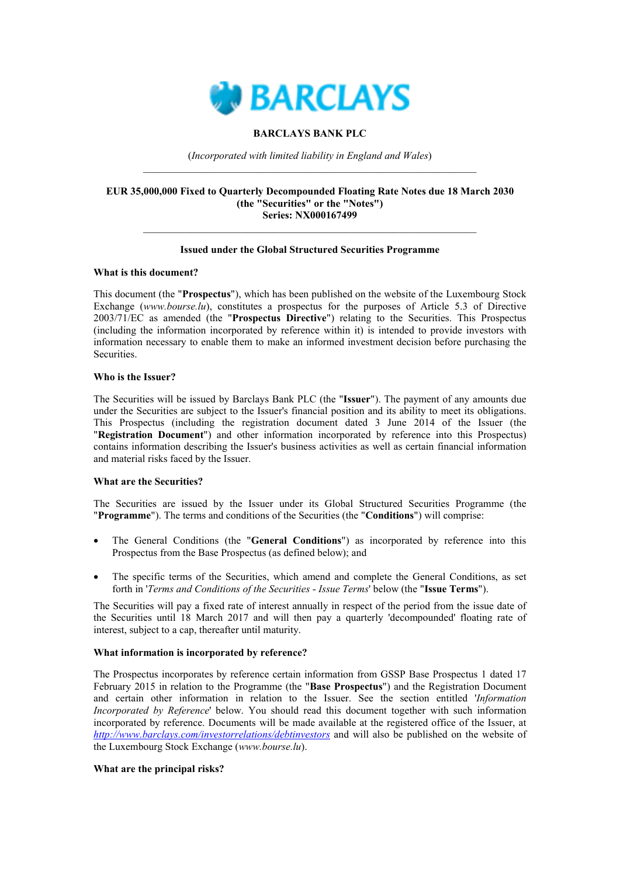

## **BARCLAYS BANK PLC**

(*Incorporated with limited liability in England and Wales*)  $\_$  , and the set of the set of the set of the set of the set of the set of the set of the set of the set of the set of the set of the set of the set of the set of the set of the set of the set of the set of the set of th

#### **EUR 35,000,000 Fixed to Quarterly Decompounded Floating Rate Notes due 18 March 2030 (the "Securities" or the "Notes") Series: NX000167499**

## **Issued under the Global Structured Securities Programme**

 $\_$  , and the set of the set of the set of the set of the set of the set of the set of the set of the set of the set of the set of the set of the set of the set of the set of the set of the set of the set of the set of th

## **What is this document?**

This document (the "**Prospectus**"), which has been published on the website of the Luxembourg Stock Exchange (*www.bourse.lu*), constitutes a prospectus for the purposes of Article 5.3 of Directive 2003/71/EC as amended (the "**Prospectus Directive**") relating to the Securities. This Prospectus (including the information incorporated by reference within it) is intended to provide investors with information necessary to enable them to make an informed investment decision before purchasing the Securities.

## **Who is the Issuer?**

The Securities will be issued by Barclays Bank PLC (the "**Issuer**"). The payment of any amounts due under the Securities are subject to the Issuer's financial position and its ability to meet its obligations. This Prospectus (including the registration document dated 3 June 2014 of the Issuer (the "**Registration Document**") and other information incorporated by reference into this Prospectus) contains information describing the Issuer's business activities as well as certain financial information and material risks faced by the Issuer.

## **What are the Securities?**

The Securities are issued by the Issuer under its Global Structured Securities Programme (the "**Programme**"). The terms and conditions of the Securities (the "**Conditions**") will comprise:

- The General Conditions (the "**General Conditions**") as incorporated by reference into this Prospectus from the Base Prospectus (as defined below); and
- The specific terms of the Securities, which amend and complete the General Conditions, as set forth in '*Terms and Conditions of the Securities* - *Issue Terms*' below (the "**Issue Terms**").

The Securities will pay a fixed rate of interest annually in respect of the period from the issue date of the Securities until 18 March 2017 and will then pay a quarterly 'decompounded' floating rate of interest, subject to a cap, thereafter until maturity.

#### **What information is incorporated by reference?**

The Prospectus incorporates by reference certain information from GSSP Base Prospectus 1 dated 17 February 2015 in relation to the Programme (the "**Base Prospectus**") and the Registration Document and certain other information in relation to the Issuer. See the section entitled '*Information Incorporated by Reference*' below. You should read this document together with such information incorporated by reference. Documents will be made available at the registered office of the Issuer, at *http://www.barclays.com/investorrelations/debtinvestors* and will also be published on the website of the Luxembourg Stock Exchange (*www.bourse.lu*).

#### **What ar[e the principal risks?](http://www.barclays.com/investorrelations/debtinvestors)**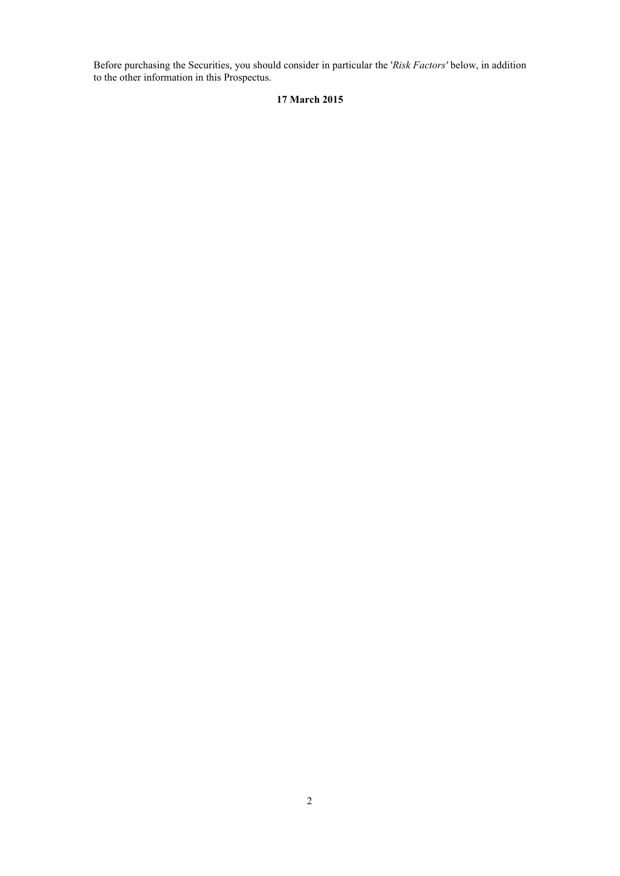Before purchasing the Securities, you should consider in particular the '*Risk Factors'* below, in addition to the other information in this Prospectus.

## **17 March 2015**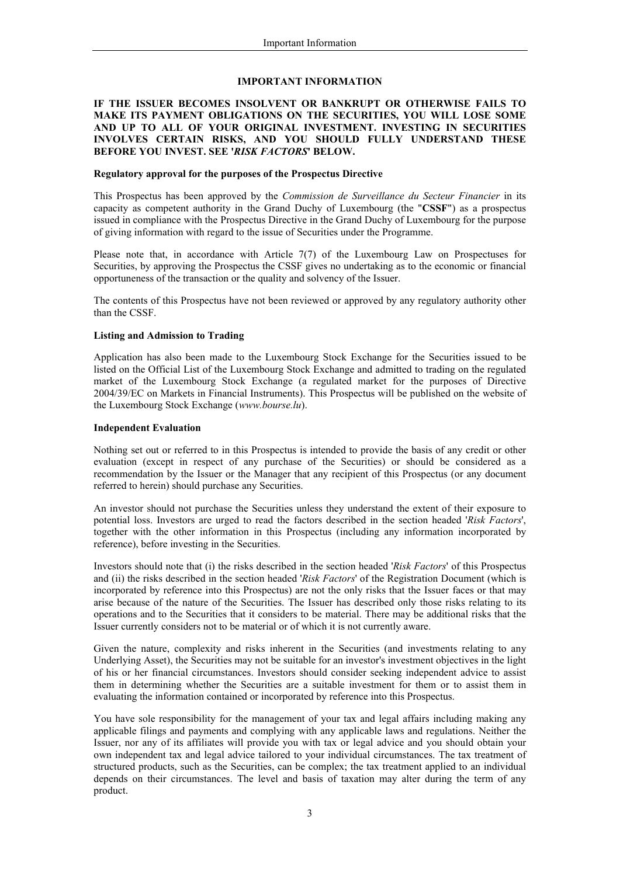#### **IMPORTANT INFORMATION**

## **IF THE ISSUER BECOMES INSOLVENT OR BANKRUPT OR OTHERWISE FAILS TO MAKE ITS PAYMENT OBLIGATIONS ON THE SECURITIES, YOU WILL LOSE SOME AND UP TO ALL OF YOUR ORIGINAL INVESTMENT. INVESTING IN SECURITIES INVOLVES CERTAIN RISKS, AND YOU SHOULD FULLY UNDERSTAND THESE BEFORE YOU INVEST. SEE '***RISK FACTORS***' BELOW.**

#### **Regulatory approval for the purposes of the Prospectus Directive**

This Prospectus has been approved by the *Commission de Surveillance du Secteur Financier* in its capacity as competent authority in the Grand Duchy of Luxembourg (the "**CSSF**") as a prospectus issued in compliance with the Prospectus Directive in the Grand Duchy of Luxembourg for the purpose of giving information with regard to the issue of Securities under the Programme.

Please note that, in accordance with Article 7(7) of the Luxembourg Law on Prospectuses for Securities, by approving the Prospectus the CSSF gives no undertaking as to the economic or financial opportuneness of the transaction or the quality and solvency of the Issuer.

The contents of this Prospectus have not been reviewed or approved by any regulatory authority other than the CSSF.

## **Listing and Admission to Trading**

Application has also been made to the Luxembourg Stock Exchange for the Securities issued to be listed on the Official List of the Luxembourg Stock Exchange and admitted to trading on the regulated market of the Luxembourg Stock Exchange (a regulated market for the purposes of Directive 2004/39/EC on Markets in Financial Instruments). This Prospectus will be published on the website of the Luxembourg Stock Exchange (*www.bourse.lu*).

#### **Independent Evaluation**

Nothing set out or referred to in this Prospectus is intended to provide the basis of any credit or other evaluation (except in respect of any purchase of the Securities) or should be considered as a recommendation by the Issuer or the Manager that any recipient of this Prospectus (or any document referred to herein) should purchase any Securities.

An investor should not purchase the Securities unless they understand the extent of their exposure to potential loss. Investors are urged to read the factors described in the section headed '*Risk Factors*', together with the other information in this Prospectus (including any information incorporated by reference), before investing in the Securities.

Investors should note that (i) the risks described in the section headed '*Risk Factors*' of this Prospectus and (ii) the risks described in the section headed '*Risk Factors*' of the Registration Document (which is incorporated by reference into this Prospectus) are not the only risks that the Issuer faces or that may arise because of the nature of the Securities. The Issuer has described only those risks relating to its operations and to the Securities that it considers to be material. There may be additional risks that the Issuer currently considers not to be material or of which it is not currently aware.

Given the nature, complexity and risks inherent in the Securities (and investments relating to any Underlying Asset), the Securities may not be suitable for an investor's investment objectives in the light of his or her financial circumstances. Investors should consider seeking independent advice to assist them in determining whether the Securities are a suitable investment for them or to assist them in evaluating the information contained or incorporated by reference into this Prospectus.

You have sole responsibility for the management of your tax and legal affairs including making any applicable filings and payments and complying with any applicable laws and regulations. Neither the Issuer, nor any of its affiliates will provide you with tax or legal advice and you should obtain your own independent tax and legal advice tailored to your individual circumstances. The tax treatment of structured products, such as the Securities, can be complex; the tax treatment applied to an individual depends on their circumstances. The level and basis of taxation may alter during the term of any product.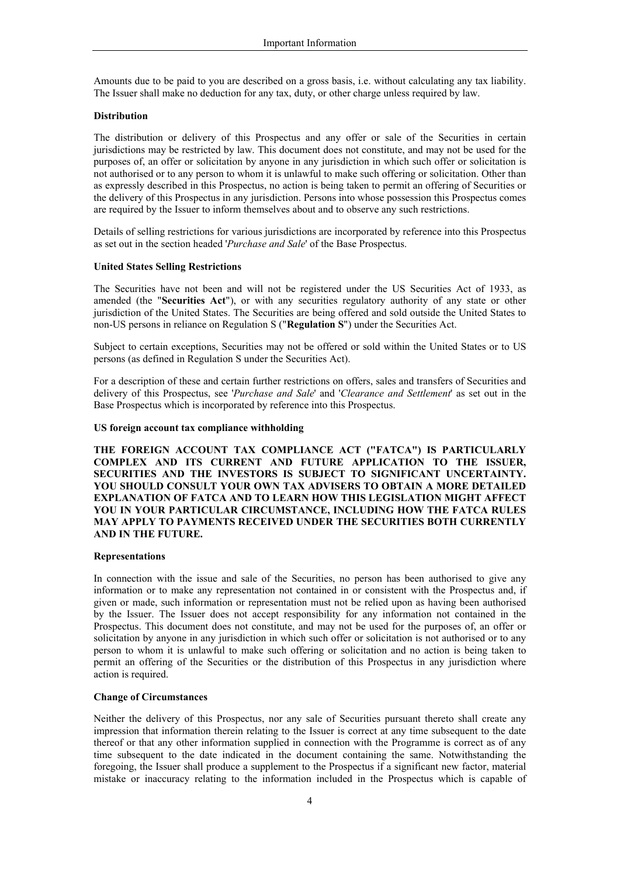Amounts due to be paid to you are described on a gross basis, i.e. without calculating any tax liability. The Issuer shall make no deduction for any tax, duty, or other charge unless required by law.

#### **Distribution**

The distribution or delivery of this Prospectus and any offer or sale of the Securities in certain jurisdictions may be restricted by law. This document does not constitute, and may not be used for the purposes of, an offer or solicitation by anyone in any jurisdiction in which such offer or solicitation is not authorised or to any person to whom it is unlawful to make such offering or solicitation. Other than as expressly described in this Prospectus, no action is being taken to permit an offering of Securities or the delivery of this Prospectus in any jurisdiction. Persons into whose possession this Prospectus comes are required by the Issuer to inform themselves about and to observe any such restrictions.

Details of selling restrictions for various jurisdictions are incorporated by reference into this Prospectus as set out in the section headed '*Purchase and Sale*' of the Base Prospectus.

## **United States Selling Restrictions**

The Securities have not been and will not be registered under the US Securities Act of 1933, as amended (the "**Securities Act**"), or with any securities regulatory authority of any state or other jurisdiction of the United States. The Securities are being offered and sold outside the United States to non-US persons in reliance on Regulation S ("**Regulation S**") under the Securities Act.

Subject to certain exceptions, Securities may not be offered or sold within the United States or to US persons (as defined in Regulation S under the Securities Act).

For a description of these and certain further restrictions on offers, sales and transfers of Securities and delivery of this Prospectus, see '*Purchase and Sale*' and '*Clearance and Settlement*' as set out in the Base Prospectus which is incorporated by reference into this Prospectus.

#### **US foreign account tax compliance withholding**

**THE FOREIGN ACCOUNT TAX COMPLIANCE ACT ("FATCA") IS PARTICULARLY COMPLEX AND ITS CURRENT AND FUTURE APPLICATION TO THE ISSUER, SECURITIES AND THE INVESTORS IS SUBJECT TO SIGNIFICANT UNCERTAINTY. YOU SHOULD CONSULT YOUR OWN TAX ADVISERS TO OBTAIN A MORE DETAILED EXPLANATION OF FATCA AND TO LEARN HOW THIS LEGISLATION MIGHT AFFECT YOU IN YOUR PARTICULAR CIRCUMSTANCE, INCLUDING HOW THE FATCA RULES MAY APPLY TO PAYMENTS RECEIVED UNDER THE SECURITIES BOTH CURRENTLY AND IN THE FUTURE.**

#### **Representations**

In connection with the issue and sale of the Securities, no person has been authorised to give any information or to make any representation not contained in or consistent with the Prospectus and, if given or made, such information or representation must not be relied upon as having been authorised by the Issuer. The Issuer does not accept responsibility for any information not contained in the Prospectus. This document does not constitute, and may not be used for the purposes of, an offer or solicitation by anyone in any jurisdiction in which such offer or solicitation is not authorised or to any person to whom it is unlawful to make such offering or solicitation and no action is being taken to permit an offering of the Securities or the distribution of this Prospectus in any jurisdiction where action is required.

#### **Change of Circumstances**

Neither the delivery of this Prospectus, nor any sale of Securities pursuant thereto shall create any impression that information therein relating to the Issuer is correct at any time subsequent to the date thereof or that any other information supplied in connection with the Programme is correct as of any time subsequent to the date indicated in the document containing the same. Notwithstanding the foregoing, the Issuer shall produce a supplement to the Prospectus if a significant new factor, material mistake or inaccuracy relating to the information included in the Prospectus which is capable of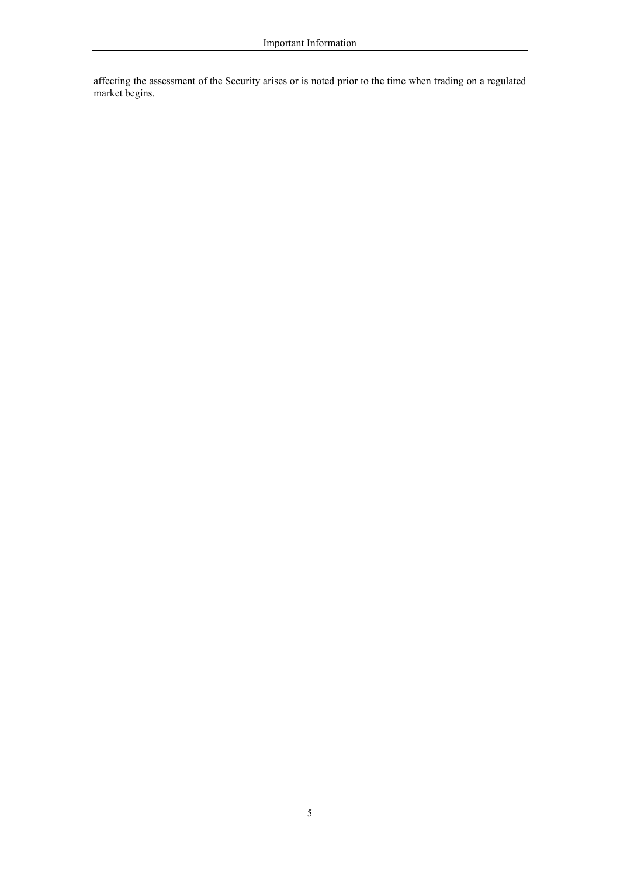affecting the assessment of the Security arises or is noted prior to the time when trading on a regulated market begins.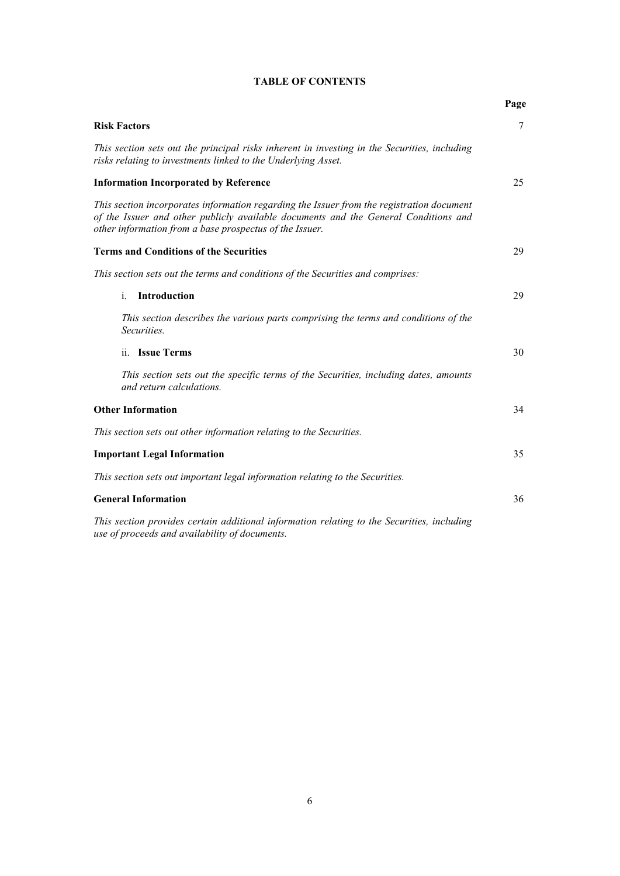|                                                                                                                                                                                                                                             | Page |
|---------------------------------------------------------------------------------------------------------------------------------------------------------------------------------------------------------------------------------------------|------|
| <b>Risk Factors</b>                                                                                                                                                                                                                         | 7    |
| This section sets out the principal risks inherent in investing in the Securities, including<br>risks relating to investments linked to the Underlying Asset.                                                                               |      |
| <b>Information Incorporated by Reference</b>                                                                                                                                                                                                | 25   |
| This section incorporates information regarding the Issuer from the registration document<br>of the Issuer and other publicly available documents and the General Conditions and<br>other information from a base prospectus of the Issuer. |      |
| <b>Terms and Conditions of the Securities</b>                                                                                                                                                                                               | 29   |
| This section sets out the terms and conditions of the Securities and comprises:                                                                                                                                                             |      |
| Introduction<br>$\mathbf{i}$ .                                                                                                                                                                                                              | 29   |
| This section describes the various parts comprising the terms and conditions of the<br>Securities.                                                                                                                                          |      |
| ii. Issue Terms                                                                                                                                                                                                                             | 30   |
| This section sets out the specific terms of the Securities, including dates, amounts<br>and return calculations.                                                                                                                            |      |
| <b>Other Information</b>                                                                                                                                                                                                                    | 34   |
| This section sets out other information relating to the Securities.                                                                                                                                                                         |      |
| <b>Important Legal Information</b>                                                                                                                                                                                                          | 35   |
| This section sets out important legal information relating to the Securities.                                                                                                                                                               |      |
| <b>General Information</b>                                                                                                                                                                                                                  | 36   |
| This section provides certain additional information relating to the Securities, including<br>use of proceeds and availability of documents.                                                                                                |      |

## **TABLE OF CONTENTS**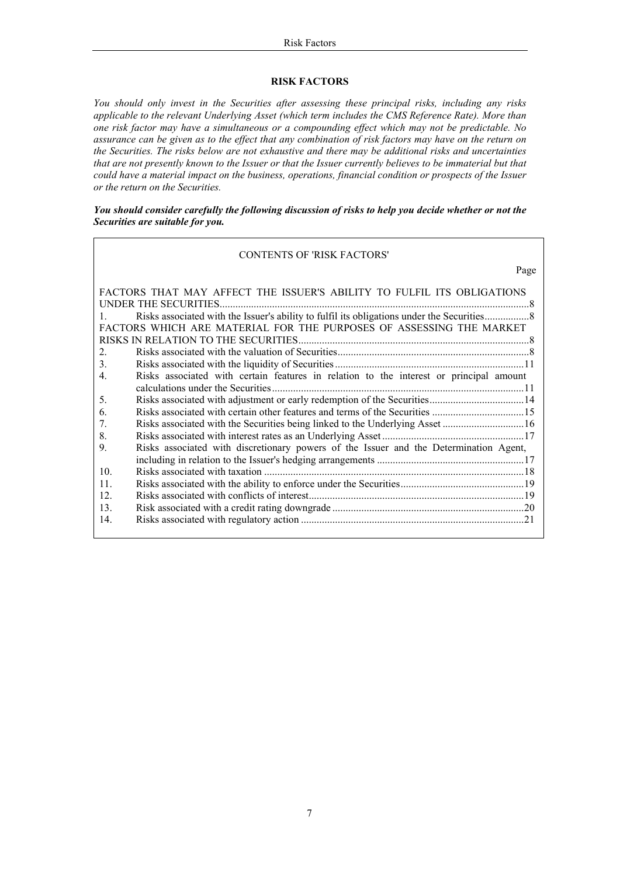## **RISK FACTORS**

*You should only invest in the Securities after assessing these principal risks, including any risks applicable to the relevant Underlying Asset (which term includes the CMS Reference Rate). More than one risk factor may have a simultaneous or a compounding effect which may not be predictable. No assurance can be given as to the effect that any combination of risk factors may have on the return on the Securities. The risks below are not exhaustive and there may be additional risks and uncertainties that are not presently known to the Issuer or that the Issuer currently believes to be immaterial but that could have a material impact on the business, operations, financial condition or prospects of the Issuer or the return on the Securities.* 

*You should consider carefully the following discussion of risks to help you decide whether or not the Securities are suitable for you.*

#### CONTENTS OF 'RISK FACTORS'

| Page                                                                                                       |
|------------------------------------------------------------------------------------------------------------|
| FACTORS THAT MAY AFFECT THE ISSUER'S ABILITY TO FULFIL ITS OBLIGATIONS                                     |
| UNDER THE SECURITIES.                                                                                      |
| $\mathbf{1}$                                                                                               |
| FACTORS WHICH ARE MATERIAL FOR THE PURPOSES OF ASSESSING THE MARKET                                        |
|                                                                                                            |
| 2.                                                                                                         |
| 3.                                                                                                         |
| Risks associated with certain features in relation to the interest or principal amount<br>$\overline{4}$ . |
| calculations under the Securities.                                                                         |
| .5.                                                                                                        |
| 6.                                                                                                         |
| $7_{\cdot}$                                                                                                |
| 8.                                                                                                         |
| Risks associated with discretionary powers of the Issuer and the Determination Agent,<br>9.                |
|                                                                                                            |
| 10.                                                                                                        |
| 11.                                                                                                        |
| 12.                                                                                                        |
| 13.                                                                                                        |
| 14.                                                                                                        |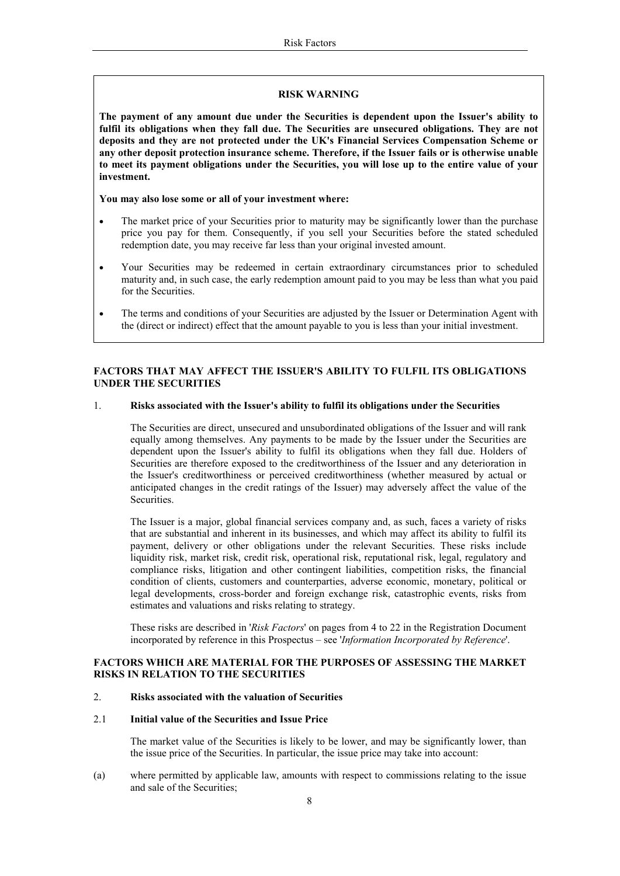#### **RISK WARNING**

**The payment of any amount due under the Securities is dependent upon the Issuer's ability to**  fulfil its obligations when they fall due. The Securities are unsecured obligations. They are not **deposits and they are not protected under the UK's Financial Services Compensation Scheme or any other deposit protection insurance scheme. Therefore, if the Issuer fails or is otherwise unable to meet its payment obligations under the Securities, you will lose up to the entire value of your investment.** 

## **You may also lose some or all of your investment where:**

- The market price of your Securities prior to maturity may be significantly lower than the purchase price you pay for them. Consequently, if you sell your Securities before the stated scheduled redemption date, you may receive far less than your original invested amount.
- Your Securities may be redeemed in certain extraordinary circumstances prior to scheduled maturity and, in such case, the early redemption amount paid to you may be less than what you paid for the Securities.
- The terms and conditions of your Securities are adjusted by the Issuer or Determination Agent with the (direct or indirect) effect that the amount payable to you is less than your initial investment.

## **FACTORS THAT MAY AFFECT THE ISSUER'S ABILITY TO FULFIL ITS OBLIGATIONS UNDER THE SECURITIES**

## 1. **Risks associated with the Issuer's ability to fulfil its obligations under the Securities**

The Securities are direct, unsecured and unsubordinated obligations of the Issuer and will rank equally among themselves. Any payments to be made by the Issuer under the Securities are dependent upon the Issuer's ability to fulfil its obligations when they fall due. Holders of Securities are therefore exposed to the creditworthiness of the Issuer and any deterioration in the Issuer's creditworthiness or perceived creditworthiness (whether measured by actual or anticipated changes in the credit ratings of the Issuer) may adversely affect the value of the Securities.

The Issuer is a major, global financial services company and, as such, faces a variety of risks that are substantial and inherent in its businesses, and which may affect its ability to fulfil its payment, delivery or other obligations under the relevant Securities. These risks include liquidity risk, market risk, credit risk, operational risk, reputational risk, legal, regulatory and compliance risks, litigation and other contingent liabilities, competition risks, the financial condition of clients, customers and counterparties, adverse economic, monetary, political or legal developments, cross-border and foreign exchange risk, catastrophic events, risks from estimates and valuations and risks relating to strategy.

These risks are described in '*Risk Factors*' on pages from 4 to 22 in the Registration Document incorporated by reference in this Prospectus – see '*Information Incorporated by Reference*'.

## **FACTORS WHICH ARE MATERIAL FOR THE PURPOSES OF ASSESSING THE MARKET RISKS IN RELATION TO THE SECURITIES**

#### 2. **Risks associated with the valuation of Securities**

#### 2.1 **Initial value of the Securities and Issue Price**

The market value of the Securities is likely to be lower, and may be significantly lower, than the issue price of the Securities. In particular, the issue price may take into account:

(a) where permitted by applicable law, amounts with respect to commissions relating to the issue and sale of the Securities;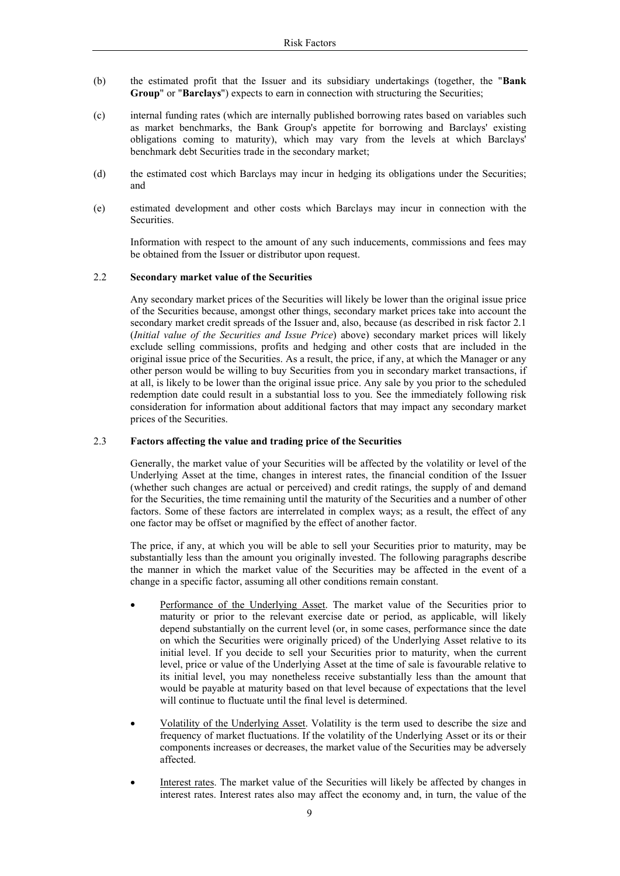- (b) the estimated profit that the Issuer and its subsidiary undertakings (together, the "**Bank Group**" or "**Barclays**") expects to earn in connection with structuring the Securities;
- (c) internal funding rates (which are internally published borrowing rates based on variables such as market benchmarks, the Bank Group's appetite for borrowing and Barclays' existing obligations coming to maturity), which may vary from the levels at which Barclays' benchmark debt Securities trade in the secondary market;
- (d) the estimated cost which Barclays may incur in hedging its obligations under the Securities; and
- (e) estimated development and other costs which Barclays may incur in connection with the Securities.

Information with respect to the amount of any such inducements, commissions and fees may be obtained from the Issuer or distributor upon request.

#### 2.2 **Secondary market value of the Securities**

Any secondary market prices of the Securities will likely be lower than the original issue price of the Securities because, amongst other things, secondary market prices take into account the secondary market credit spreads of the Issuer and, also, because (as described in risk factor 2.1 (*Initial value of the Securities and Issue Price*) above) secondary market prices will likely exclude selling commissions, profits and hedging and other costs that are included in the original issue price of the Securities. As a result, the price, if any, at which the Manager or any other person would be willing to buy Securities from you in secondary market transactions, if at all, is likely to be lower than the original issue price. Any sale by you prior to the scheduled redemption date could result in a substantial loss to you. See the immediately following risk consideration for information about additional factors that may impact any secondary market prices of the Securities.

## 2.3 **Factors affecting the value and trading price of the Securities**

Generally, the market value of your Securities will be affected by the volatility or level of the Underlying Asset at the time, changes in interest rates, the financial condition of the Issuer (whether such changes are actual or perceived) and credit ratings, the supply of and demand for the Securities, the time remaining until the maturity of the Securities and a number of other factors. Some of these factors are interrelated in complex ways; as a result, the effect of any one factor may be offset or magnified by the effect of another factor.

The price, if any, at which you will be able to sell your Securities prior to maturity, may be substantially less than the amount you originally invested. The following paragraphs describe the manner in which the market value of the Securities may be affected in the event of a change in a specific factor, assuming all other conditions remain constant.

- Performance of the Underlying Asset. The market value of the Securities prior to maturity or prior to the relevant exercise date or period, as applicable, will likely depend substantially on the current level (or, in some cases, performance since the date on which the Securities were originally priced) of the Underlying Asset relative to its initial level. If you decide to sell your Securities prior to maturity, when the current level, price or value of the Underlying Asset at the time of sale is favourable relative to its initial level, you may nonetheless receive substantially less than the amount that would be payable at maturity based on that level because of expectations that the level will continue to fluctuate until the final level is determined.
- Volatility of the Underlying Asset. Volatility is the term used to describe the size and frequency of market fluctuations. If the volatility of the Underlying Asset or its or their components increases or decreases, the market value of the Securities may be adversely affected.
- Interest rates. The market value of the Securities will likely be affected by changes in interest rates. Interest rates also may affect the economy and, in turn, the value of the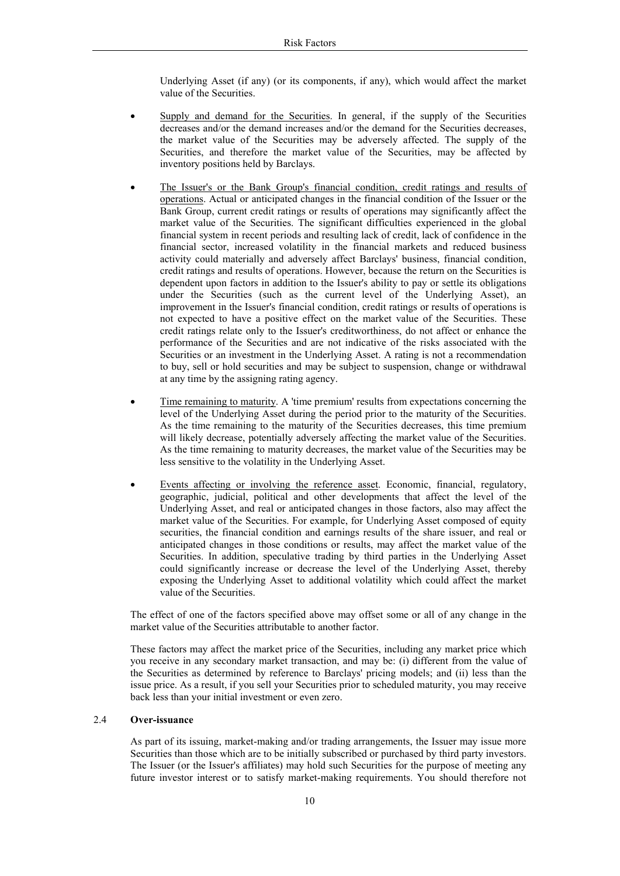Underlying Asset (if any) (or its components, if any), which would affect the market value of the Securities.

- Supply and demand for the Securities. In general, if the supply of the Securities decreases and/or the demand increases and/or the demand for the Securities decreases, the market value of the Securities may be adversely affected. The supply of the Securities, and therefore the market value of the Securities, may be affected by inventory positions held by Barclays.
- The Issuer's or the Bank Group's financial condition, credit ratings and results of operations. Actual or anticipated changes in the financial condition of the Issuer or the Bank Group, current credit ratings or results of operations may significantly affect the market value of the Securities. The significant difficulties experienced in the global financial system in recent periods and resulting lack of credit, lack of confidence in the financial sector, increased volatility in the financial markets and reduced business activity could materially and adversely affect Barclays' business, financial condition, credit ratings and results of operations. However, because the return on the Securities is dependent upon factors in addition to the Issuer's ability to pay or settle its obligations under the Securities (such as the current level of the Underlying Asset), an improvement in the Issuer's financial condition, credit ratings or results of operations is not expected to have a positive effect on the market value of the Securities. These credit ratings relate only to the Issuer's creditworthiness, do not affect or enhance the performance of the Securities and are not indicative of the risks associated with the Securities or an investment in the Underlying Asset. A rating is not a recommendation to buy, sell or hold securities and may be subject to suspension, change or withdrawal at any time by the assigning rating agency.
- Time remaining to maturity. A 'time premium' results from expectations concerning the level of the Underlying Asset during the period prior to the maturity of the Securities. As the time remaining to the maturity of the Securities decreases, this time premium will likely decrease, potentially adversely affecting the market value of the Securities. As the time remaining to maturity decreases, the market value of the Securities may be less sensitive to the volatility in the Underlying Asset.
- Events affecting or involving the reference asset. Economic, financial, regulatory, geographic, judicial, political and other developments that affect the level of the Underlying Asset, and real or anticipated changes in those factors, also may affect the market value of the Securities. For example, for Underlying Asset composed of equity securities, the financial condition and earnings results of the share issuer, and real or anticipated changes in those conditions or results, may affect the market value of the Securities. In addition, speculative trading by third parties in the Underlying Asset could significantly increase or decrease the level of the Underlying Asset, thereby exposing the Underlying Asset to additional volatility which could affect the market value of the Securities.

The effect of one of the factors specified above may offset some or all of any change in the market value of the Securities attributable to another factor.

These factors may affect the market price of the Securities, including any market price which you receive in any secondary market transaction, and may be: (i) different from the value of the Securities as determined by reference to Barclays' pricing models; and (ii) less than the issue price. As a result, if you sell your Securities prior to scheduled maturity, you may receive back less than your initial investment or even zero.

## 2.4 **Over-issuance**

As part of its issuing, market-making and/or trading arrangements, the Issuer may issue more Securities than those which are to be initially subscribed or purchased by third party investors. The Issuer (or the Issuer's affiliates) may hold such Securities for the purpose of meeting any future investor interest or to satisfy market-making requirements. You should therefore not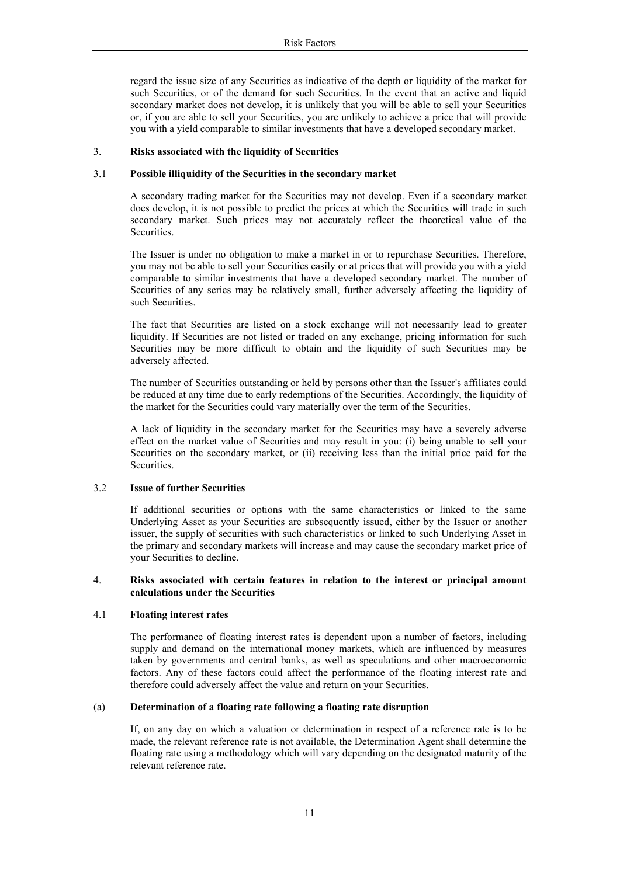regard the issue size of any Securities as indicative of the depth or liquidity of the market for such Securities, or of the demand for such Securities. In the event that an active and liquid secondary market does not develop, it is unlikely that you will be able to sell your Securities or, if you are able to sell your Securities, you are unlikely to achieve a price that will provide you with a yield comparable to similar investments that have a developed secondary market.

#### 3. **Risks associated with the liquidity of Securities**

#### 3.1 **Possible illiquidity of the Securities in the secondary market**

A secondary trading market for the Securities may not develop. Even if a secondary market does develop, it is not possible to predict the prices at which the Securities will trade in such secondary market. Such prices may not accurately reflect the theoretical value of the Securities.

The Issuer is under no obligation to make a market in or to repurchase Securities. Therefore, you may not be able to sell your Securities easily or at prices that will provide you with a yield comparable to similar investments that have a developed secondary market. The number of Securities of any series may be relatively small, further adversely affecting the liquidity of such Securities.

The fact that Securities are listed on a stock exchange will not necessarily lead to greater liquidity. If Securities are not listed or traded on any exchange, pricing information for such Securities may be more difficult to obtain and the liquidity of such Securities may be adversely affected.

The number of Securities outstanding or held by persons other than the Issuer's affiliates could be reduced at any time due to early redemptions of the Securities. Accordingly, the liquidity of the market for the Securities could vary materially over the term of the Securities.

A lack of liquidity in the secondary market for the Securities may have a severely adverse effect on the market value of Securities and may result in you: (i) being unable to sell your Securities on the secondary market, or (ii) receiving less than the initial price paid for the **Securities** 

## 3.2 **Issue of further Securities**

If additional securities or options with the same characteristics or linked to the same Underlying Asset as your Securities are subsequently issued, either by the Issuer or another issuer, the supply of securities with such characteristics or linked to such Underlying Asset in the primary and secondary markets will increase and may cause the secondary market price of your Securities to decline.

## 4. **Risks associated with certain features in relation to the interest or principal amount calculations under the Securities**

## 4.1 **Floating interest rates**

The performance of floating interest rates is dependent upon a number of factors, including supply and demand on the international money markets, which are influenced by measures taken by governments and central banks, as well as speculations and other macroeconomic factors. Any of these factors could affect the performance of the floating interest rate and therefore could adversely affect the value and return on your Securities.

#### (a) **Determination of a floating rate following a floating rate disruption**

If, on any day on which a valuation or determination in respect of a reference rate is to be made, the relevant reference rate is not available, the Determination Agent shall determine the floating rate using a methodology which will vary depending on the designated maturity of the relevant reference rate.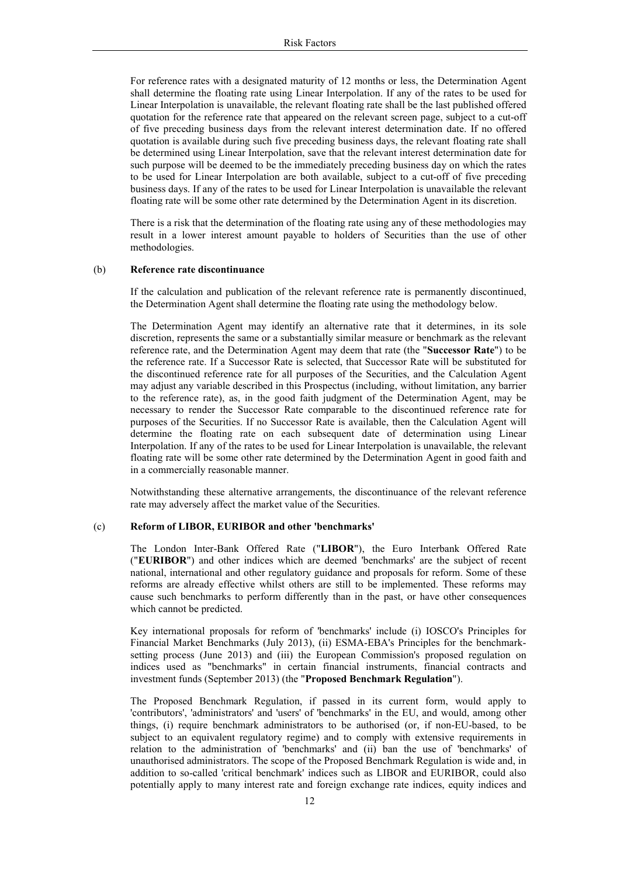For reference rates with a designated maturity of 12 months or less, the Determination Agent shall determine the floating rate using Linear Interpolation. If any of the rates to be used for Linear Interpolation is unavailable, the relevant floating rate shall be the last published offered quotation for the reference rate that appeared on the relevant screen page, subject to a cut-off of five preceding business days from the relevant interest determination date. If no offered quotation is available during such five preceding business days, the relevant floating rate shall be determined using Linear Interpolation, save that the relevant interest determination date for such purpose will be deemed to be the immediately preceding business day on which the rates to be used for Linear Interpolation are both available, subject to a cut-off of five preceding business days. If any of the rates to be used for Linear Interpolation is unavailable the relevant floating rate will be some other rate determined by the Determination Agent in its discretion.

There is a risk that the determination of the floating rate using any of these methodologies may result in a lower interest amount payable to holders of Securities than the use of other methodologies.

#### (b) **Reference rate discontinuance**

If the calculation and publication of the relevant reference rate is permanently discontinued, the Determination Agent shall determine the floating rate using the methodology below.

The Determination Agent may identify an alternative rate that it determines, in its sole discretion, represents the same or a substantially similar measure or benchmark as the relevant reference rate, and the Determination Agent may deem that rate (the "**Successor Rate**") to be the reference rate. If a Successor Rate is selected, that Successor Rate will be substituted for the discontinued reference rate for all purposes of the Securities, and the Calculation Agent may adjust any variable described in this Prospectus (including, without limitation, any barrier to the reference rate), as, in the good faith judgment of the Determination Agent, may be necessary to render the Successor Rate comparable to the discontinued reference rate for purposes of the Securities. If no Successor Rate is available, then the Calculation Agent will determine the floating rate on each subsequent date of determination using Linear Interpolation. If any of the rates to be used for Linear Interpolation is unavailable, the relevant floating rate will be some other rate determined by the Determination Agent in good faith and in a commercially reasonable manner.

Notwithstanding these alternative arrangements, the discontinuance of the relevant reference rate may adversely affect the market value of the Securities.

#### (c) **Reform of LIBOR, EURIBOR and other 'benchmarks'**

The London Inter-Bank Offered Rate ("**LIBOR**"), the Euro Interbank Offered Rate ("**EURIBOR**") and other indices which are deemed 'benchmarks' are the subject of recent national, international and other regulatory guidance and proposals for reform. Some of these reforms are already effective whilst others are still to be implemented. These reforms may cause such benchmarks to perform differently than in the past, or have other consequences which cannot be predicted.

Key international proposals for reform of 'benchmarks' include (i) IOSCO's Principles for Financial Market Benchmarks (July 2013), (ii) ESMA-EBA's Principles for the benchmarksetting process (June 2013) and (iii) the European Commission's proposed regulation on indices used as "benchmarks" in certain financial instruments, financial contracts and investment funds (September 2013) (the "**Proposed Benchmark Regulation**").

The Proposed Benchmark Regulation, if passed in its current form, would apply to 'contributors', 'administrators' and 'users' of 'benchmarks' in the EU, and would, among other things, (i) require benchmark administrators to be authorised (or, if non-EU-based, to be subject to an equivalent regulatory regime) and to comply with extensive requirements in relation to the administration of 'benchmarks' and (ii) ban the use of 'benchmarks' of unauthorised administrators. The scope of the Proposed Benchmark Regulation is wide and, in addition to so-called 'critical benchmark' indices such as LIBOR and EURIBOR, could also potentially apply to many interest rate and foreign exchange rate indices, equity indices and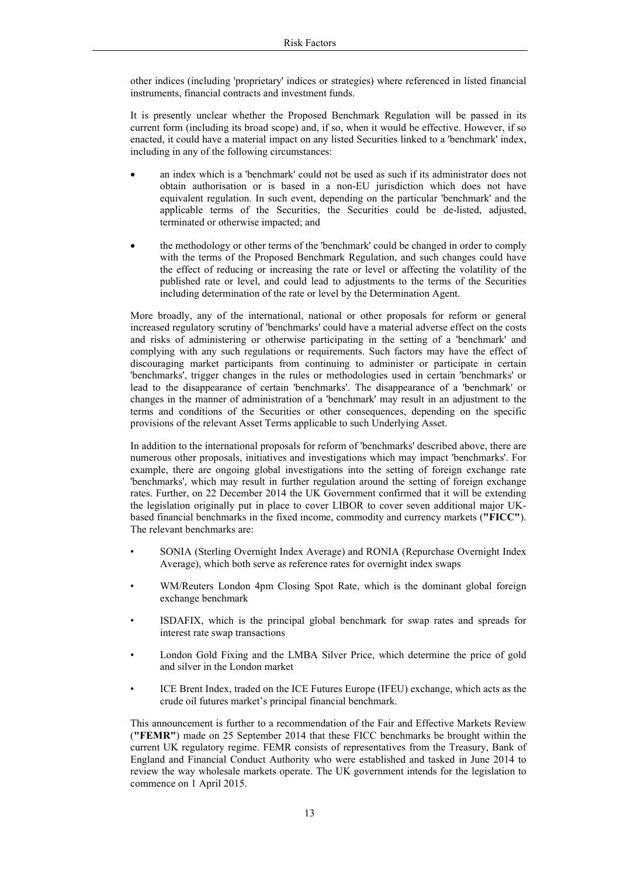other indices (including 'proprietary' indices or strategies) where referenced in listed financial instruments, financial contracts and investment funds.

It is presently unclear whether the Proposed Benchmark Regulation will be passed in its current form (including its broad scope) and, if so, when it would be effective. However, if so enacted, it could have a material impact on any listed Securities linked to a 'benchmark' index, including in any of the following circumstances:

- an index which is a 'benchmark' could not be used as such if its administrator does not obtain authorisation or is based in a non-EU jurisdiction which does not have equivalent regulation. In such event, depending on the particular 'benchmark' and the applicable terms of the Securities, the Securities could be de-listed, adjusted, terminated or otherwise impacted; and
- the methodology or other terms of the 'benchmark' could be changed in order to comply with the terms of the Proposed Benchmark Regulation, and such changes could have the effect of reducing or increasing the rate or level or affecting the volatility of the published rate or level, and could lead to adjustments to the terms of the Securities including determination of the rate or level by the Determination Agent.

More broadly, any of the international, national or other proposals for reform or general increased regulatory scrutiny of 'benchmarks' could have a material adverse effect on the costs and risks of administering or otherwise participating in the setting of a 'benchmark' and complying with any such regulations or requirements. Such factors may have the effect of discouraging market participants from continuing to administer or participate in certain 'benchmarks', trigger changes in the rules or methodologies used in certain 'benchmarks' or lead to the disappearance of certain 'benchmarks'. The disappearance of a 'benchmark' or changes in the manner of administration of a 'benchmark' may result in an adjustment to the terms and conditions of the Securities or other consequences, depending on the specific provisions of the relevant Asset Terms applicable to such Underlying Asset.

In addition to the international proposals for reform of 'benchmarks' described above, there are numerous other proposals, initiatives and investigations which may impact 'benchmarks'. For example, there are ongoing global investigations into the setting of foreign exchange rate 'benchmarks', which may result in further regulation around the setting of foreign exchange rates. Further, on 22 December 2014 the UK Government confirmed that it will be extending the legislation originally put in place to cover LIBOR to cover seven additional major UKbased financial benchmarks in the fixed income, commodity and currency markets (**"FICC"**). The relevant benchmarks are:

- SONIA (Sterling Overnight Index Average) and RONIA (Repurchase Overnight Index Average), which both serve as reference rates for overnight index swaps
- WM/Reuters London 4pm Closing Spot Rate, which is the dominant global foreign exchange benchmark
- ISDAFIX, which is the principal global benchmark for swap rates and spreads for interest rate swap transactions
- London Gold Fixing and the LMBA Silver Price, which determine the price of gold and silver in the London market
- ICE Brent Index, traded on the ICE Futures Europe (IFEU) exchange, which acts as the crude oil futures market's principal financial benchmark.

This announcement is further to a recommendation of the Fair and Effective Markets Review (**"FEMR"**) made on 25 September 2014 that these FICC benchmarks be brought within the current UK regulatory regime. FEMR consists of representatives from the Treasury, Bank of England and Financial Conduct Authority who were established and tasked in June 2014 to review the way wholesale markets operate. The UK government intends for the legislation to commence on 1 April 2015.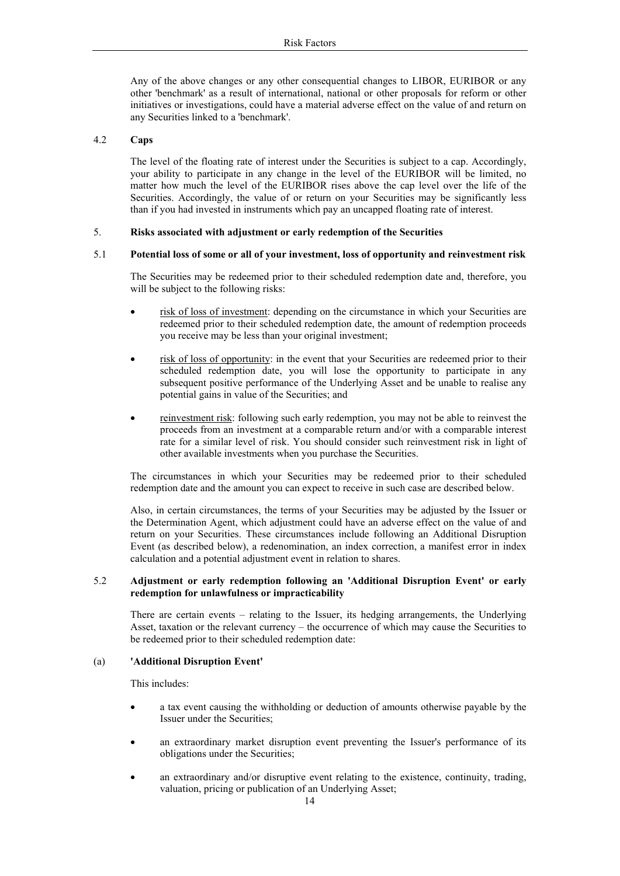Any of the above changes or any other consequential changes to LIBOR, EURIBOR or any other 'benchmark' as a result of international, national or other proposals for reform or other initiatives or investigations, could have a material adverse effect on the value of and return on any Securities linked to a 'benchmark'.

#### 4.2 **Caps**

The level of the floating rate of interest under the Securities is subject to a cap. Accordingly, your ability to participate in any change in the level of the EURIBOR will be limited, no matter how much the level of the EURIBOR rises above the cap level over the life of the Securities. Accordingly, the value of or return on your Securities may be significantly less than if you had invested in instruments which pay an uncapped floating rate of interest.

#### 5. **Risks associated with adjustment or early redemption of the Securities**

## 5.1 **Potential loss of some or all of your investment, loss of opportunity and reinvestment risk**

The Securities may be redeemed prior to their scheduled redemption date and, therefore, you will be subject to the following risks:

- risk of loss of investment: depending on the circumstance in which your Securities are redeemed prior to their scheduled redemption date, the amount of redemption proceeds you receive may be less than your original investment;
- risk of loss of opportunity: in the event that your Securities are redeemed prior to their scheduled redemption date, you will lose the opportunity to participate in any subsequent positive performance of the Underlying Asset and be unable to realise any potential gains in value of the Securities; and
- reinvestment risk: following such early redemption, you may not be able to reinvest the proceeds from an investment at a comparable return and/or with a comparable interest rate for a similar level of risk. You should consider such reinvestment risk in light of other available investments when you purchase the Securities.

The circumstances in which your Securities may be redeemed prior to their scheduled redemption date and the amount you can expect to receive in such case are described below.

Also, in certain circumstances, the terms of your Securities may be adjusted by the Issuer or the Determination Agent, which adjustment could have an adverse effect on the value of and return on your Securities. These circumstances include following an Additional Disruption Event (as described below), a redenomination, an index correction, a manifest error in index calculation and a potential adjustment event in relation to shares.

#### 5.2 **Adjustment or early redemption following an 'Additional Disruption Event' or early redemption for unlawfulness or impracticability**

There are certain events – relating to the Issuer, its hedging arrangements, the Underlying Asset, taxation or the relevant currency – the occurrence of which may cause the Securities to be redeemed prior to their scheduled redemption date:

#### (a) **'Additional Disruption Event'**

This includes:

- a tax event causing the withholding or deduction of amounts otherwise payable by the Issuer under the Securities;
- an extraordinary market disruption event preventing the Issuer's performance of its obligations under the Securities;
- an extraordinary and/or disruptive event relating to the existence, continuity, trading, valuation, pricing or publication of an Underlying Asset;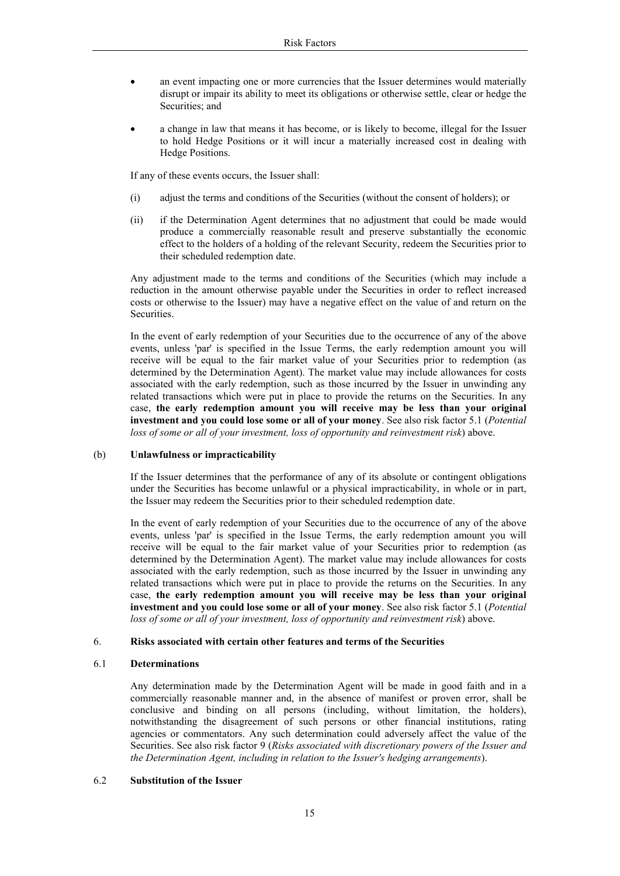- an event impacting one or more currencies that the Issuer determines would materially disrupt or impair its ability to meet its obligations or otherwise settle, clear or hedge the Securities; and
- a change in law that means it has become, or is likely to become, illegal for the Issuer to hold Hedge Positions or it will incur a materially increased cost in dealing with Hedge Positions.

If any of these events occurs, the Issuer shall:

- (i) adjust the terms and conditions of the Securities (without the consent of holders); or
- (ii) if the Determination Agent determines that no adjustment that could be made would produce a commercially reasonable result and preserve substantially the economic effect to the holders of a holding of the relevant Security, redeem the Securities prior to their scheduled redemption date.

Any adjustment made to the terms and conditions of the Securities (which may include a reduction in the amount otherwise payable under the Securities in order to reflect increased costs or otherwise to the Issuer) may have a negative effect on the value of and return on the Securities.

In the event of early redemption of your Securities due to the occurrence of any of the above events, unless 'par' is specified in the Issue Terms, the early redemption amount you will receive will be equal to the fair market value of your Securities prior to redemption (as determined by the Determination Agent). The market value may include allowances for costs associated with the early redemption, such as those incurred by the Issuer in unwinding any related transactions which were put in place to provide the returns on the Securities. In any case, **the early redemption amount you will receive may be less than your original investment and you could lose some or all of your money**. See also risk factor 5.1 (*Potential loss of some or all of your investment, loss of opportunity and reinvestment risk*) above.

#### (b) **Unlawfulness or impracticability**

If the Issuer determines that the performance of any of its absolute or contingent obligations under the Securities has become unlawful or a physical impracticability, in whole or in part, the Issuer may redeem the Securities prior to their scheduled redemption date.

In the event of early redemption of your Securities due to the occurrence of any of the above events, unless 'par' is specified in the Issue Terms, the early redemption amount you will receive will be equal to the fair market value of your Securities prior to redemption (as determined by the Determination Agent). The market value may include allowances for costs associated with the early redemption, such as those incurred by the Issuer in unwinding any related transactions which were put in place to provide the returns on the Securities. In any case, **the early redemption amount you will receive may be less than your original investment and you could lose some or all of your money**. See also risk factor 5.1 (*Potential loss of some or all of your investment, loss of opportunity and reinvestment risk*) above.

## 6. **Risks associated with certain other features and terms of the Securities**

#### 6.1 **Determinations**

Any determination made by the Determination Agent will be made in good faith and in a commercially reasonable manner and, in the absence of manifest or proven error, shall be conclusive and binding on all persons (including, without limitation, the holders), notwithstanding the disagreement of such persons or other financial institutions, rating agencies or commentators. Any such determination could adversely affect the value of the Securities. See also risk factor 9 (*Risks associated with discretionary powers of the Issuer and the Determination Agent, including in relation to the Issuer's hedging arrangements*).

## 6.2 **Substitution of the Issuer**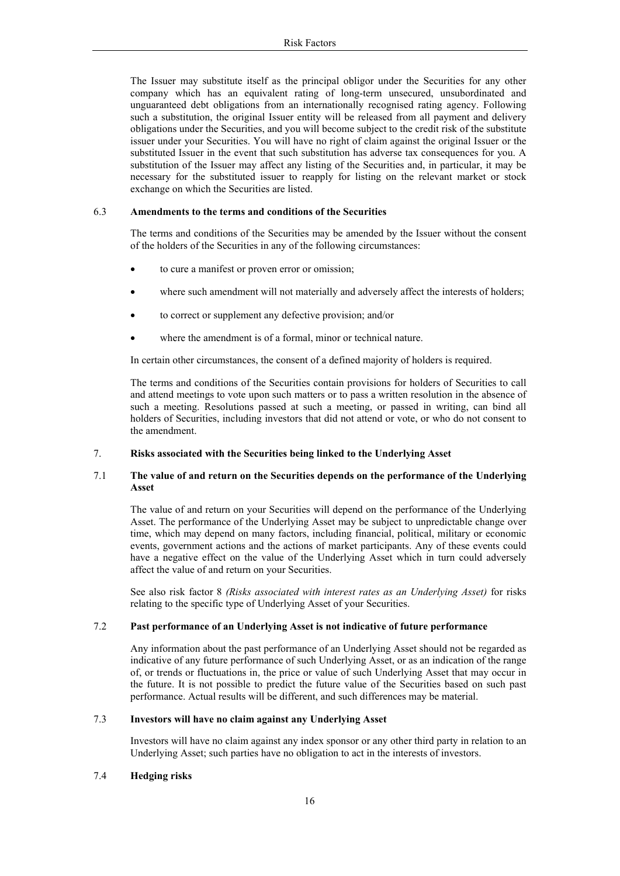The Issuer may substitute itself as the principal obligor under the Securities for any other company which has an equivalent rating of long-term unsecured, unsubordinated and unguaranteed debt obligations from an internationally recognised rating agency. Following such a substitution, the original Issuer entity will be released from all payment and delivery obligations under the Securities, and you will become subject to the credit risk of the substitute issuer under your Securities. You will have no right of claim against the original Issuer or the substituted Issuer in the event that such substitution has adverse tax consequences for you. A substitution of the Issuer may affect any listing of the Securities and, in particular, it may be necessary for the substituted issuer to reapply for listing on the relevant market or stock exchange on which the Securities are listed.

## 6.3 **Amendments to the terms and conditions of the Securities**

The terms and conditions of the Securities may be amended by the Issuer without the consent of the holders of the Securities in any of the following circumstances:

- to cure a manifest or proven error or omission;
- where such amendment will not materially and adversely affect the interests of holders;
- to correct or supplement any defective provision; and/or
- where the amendment is of a formal, minor or technical nature.

In certain other circumstances, the consent of a defined majority of holders is required.

The terms and conditions of the Securities contain provisions for holders of Securities to call and attend meetings to vote upon such matters or to pass a written resolution in the absence of such a meeting. Resolutions passed at such a meeting, or passed in writing, can bind all holders of Securities, including investors that did not attend or vote, or who do not consent to the amendment.

## 7. **Risks associated with the Securities being linked to the Underlying Asset**

## 7.1 **The value of and return on the Securities depends on the performance of the Underlying Asset**

The value of and return on your Securities will depend on the performance of the Underlying Asset. The performance of the Underlying Asset may be subject to unpredictable change over time, which may depend on many factors, including financial, political, military or economic events, government actions and the actions of market participants. Any of these events could have a negative effect on the value of the Underlying Asset which in turn could adversely affect the value of and return on your Securities.

See also risk factor 8 *(Risks associated with interest rates as an Underlying Asset)* for risks relating to the specific type of Underlying Asset of your Securities.

#### 7.2 **Past performance of an Underlying Asset is not indicative of future performance**

Any information about the past performance of an Underlying Asset should not be regarded as indicative of any future performance of such Underlying Asset, or as an indication of the range of, or trends or fluctuations in, the price or value of such Underlying Asset that may occur in the future. It is not possible to predict the future value of the Securities based on such past performance. Actual results will be different, and such differences may be material.

## 7.3 **Investors will have no claim against any Underlying Asset**

Investors will have no claim against any index sponsor or any other third party in relation to an Underlying Asset; such parties have no obligation to act in the interests of investors.

## 7.4 **Hedging risks**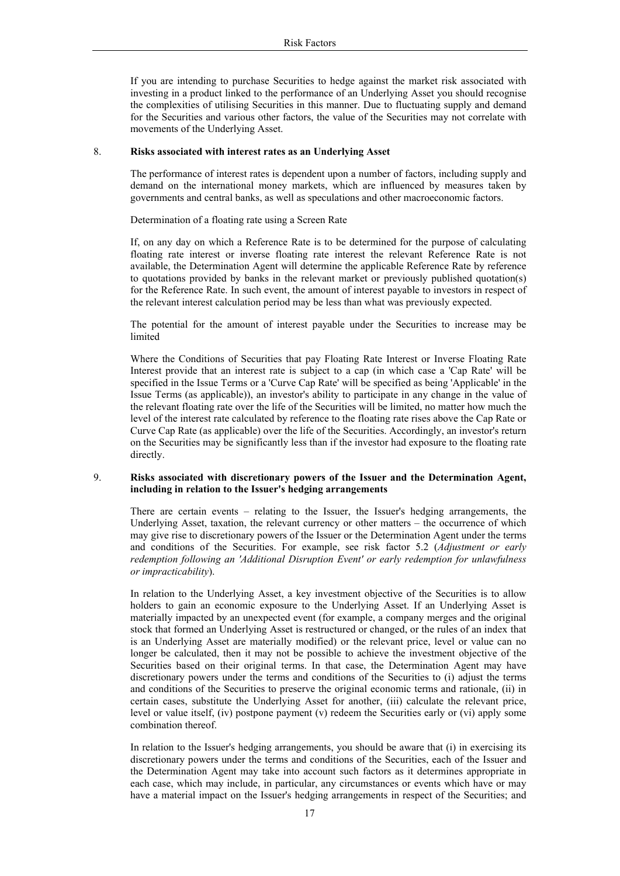If you are intending to purchase Securities to hedge against the market risk associated with investing in a product linked to the performance of an Underlying Asset you should recognise the complexities of utilising Securities in this manner. Due to fluctuating supply and demand for the Securities and various other factors, the value of the Securities may not correlate with movements of the Underlying Asset.

#### 8. **Risks associated with interest rates as an Underlying Asset**

The performance of interest rates is dependent upon a number of factors, including supply and demand on the international money markets, which are influenced by measures taken by governments and central banks, as well as speculations and other macroeconomic factors.

Determination of a floating rate using a Screen Rate

If, on any day on which a Reference Rate is to be determined for the purpose of calculating floating rate interest or inverse floating rate interest the relevant Reference Rate is not available, the Determination Agent will determine the applicable Reference Rate by reference to quotations provided by banks in the relevant market or previously published quotation(s) for the Reference Rate. In such event, the amount of interest payable to investors in respect of the relevant interest calculation period may be less than what was previously expected.

The potential for the amount of interest payable under the Securities to increase may be limited

Where the Conditions of Securities that pay Floating Rate Interest or Inverse Floating Rate Interest provide that an interest rate is subject to a cap (in which case a 'Cap Rate' will be specified in the Issue Terms or a 'Curve Cap Rate' will be specified as being 'Applicable' in the Issue Terms (as applicable)), an investor's ability to participate in any change in the value of the relevant floating rate over the life of the Securities will be limited, no matter how much the level of the interest rate calculated by reference to the floating rate rises above the Cap Rate or Curve Cap Rate (as applicable) over the life of the Securities. Accordingly, an investor's return on the Securities may be significantly less than if the investor had exposure to the floating rate directly.

## 9. **Risks associated with discretionary powers of the Issuer and the Determination Agent, including in relation to the Issuer's hedging arrangements**

There are certain events – relating to the Issuer, the Issuer's hedging arrangements, the Underlying Asset, taxation, the relevant currency or other matters – the occurrence of which may give rise to discretionary powers of the Issuer or the Determination Agent under the terms and conditions of the Securities. For example, see risk factor 5.2 (*Adjustment or early redemption following an 'Additional Disruption Event' or early redemption for unlawfulness or impracticability*).

In relation to the Underlying Asset, a key investment objective of the Securities is to allow holders to gain an economic exposure to the Underlying Asset. If an Underlying Asset is materially impacted by an unexpected event (for example, a company merges and the original stock that formed an Underlying Asset is restructured or changed, or the rules of an index that is an Underlying Asset are materially modified) or the relevant price, level or value can no longer be calculated, then it may not be possible to achieve the investment objective of the Securities based on their original terms. In that case, the Determination Agent may have discretionary powers under the terms and conditions of the Securities to (i) adjust the terms and conditions of the Securities to preserve the original economic terms and rationale, (ii) in certain cases, substitute the Underlying Asset for another, (iii) calculate the relevant price, level or value itself, (iv) postpone payment (v) redeem the Securities early or (vi) apply some combination thereof.

In relation to the Issuer's hedging arrangements, you should be aware that (i) in exercising its discretionary powers under the terms and conditions of the Securities, each of the Issuer and the Determination Agent may take into account such factors as it determines appropriate in each case, which may include, in particular, any circumstances or events which have or may have a material impact on the Issuer's hedging arrangements in respect of the Securities; and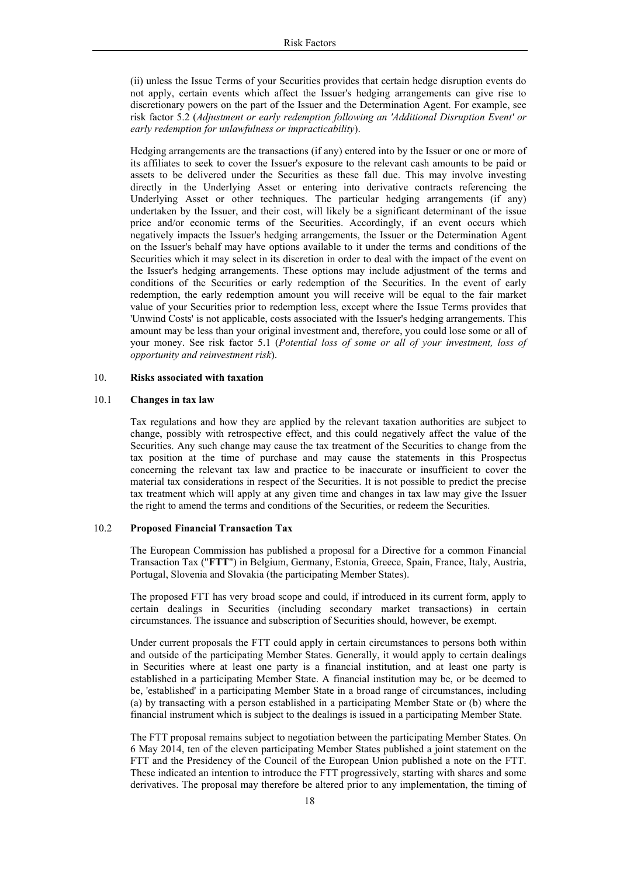(ii) unless the Issue Terms of your Securities provides that certain hedge disruption events do not apply, certain events which affect the Issuer's hedging arrangements can give rise to discretionary powers on the part of the Issuer and the Determination Agent. For example, see risk factor 5.2 (*Adjustment or early redemption following an 'Additional Disruption Event' or early redemption for unlawfulness or impracticability*).

Hedging arrangements are the transactions (if any) entered into by the Issuer or one or more of its affiliates to seek to cover the Issuer's exposure to the relevant cash amounts to be paid or assets to be delivered under the Securities as these fall due. This may involve investing directly in the Underlying Asset or entering into derivative contracts referencing the Underlying Asset or other techniques. The particular hedging arrangements (if any) undertaken by the Issuer, and their cost, will likely be a significant determinant of the issue price and/or economic terms of the Securities. Accordingly, if an event occurs which negatively impacts the Issuer's hedging arrangements, the Issuer or the Determination Agent on the Issuer's behalf may have options available to it under the terms and conditions of the Securities which it may select in its discretion in order to deal with the impact of the event on the Issuer's hedging arrangements. These options may include adjustment of the terms and conditions of the Securities or early redemption of the Securities. In the event of early redemption, the early redemption amount you will receive will be equal to the fair market value of your Securities prior to redemption less, except where the Issue Terms provides that 'Unwind Costs' is not applicable, costs associated with the Issuer's hedging arrangements. This amount may be less than your original investment and, therefore, you could lose some or all of your money. See risk factor 5.1 (*Potential loss of some or all of your investment, loss of opportunity and reinvestment risk*).

#### 10. **Risks associated with taxation**

#### 10.1 **Changes in tax law**

Tax regulations and how they are applied by the relevant taxation authorities are subject to change, possibly with retrospective effect, and this could negatively affect the value of the Securities. Any such change may cause the tax treatment of the Securities to change from the tax position at the time of purchase and may cause the statements in this Prospectus concerning the relevant tax law and practice to be inaccurate or insufficient to cover the material tax considerations in respect of the Securities. It is not possible to predict the precise tax treatment which will apply at any given time and changes in tax law may give the Issuer the right to amend the terms and conditions of the Securities, or redeem the Securities.

## 10.2 **Proposed Financial Transaction Tax**

The European Commission has published a proposal for a Directive for a common Financial Transaction Tax ("**FTT**") in Belgium, Germany, Estonia, Greece, Spain, France, Italy, Austria, Portugal, Slovenia and Slovakia (the participating Member States).

The proposed FTT has very broad scope and could, if introduced in its current form, apply to certain dealings in Securities (including secondary market transactions) in certain circumstances. The issuance and subscription of Securities should, however, be exempt.

Under current proposals the FTT could apply in certain circumstances to persons both within and outside of the participating Member States. Generally, it would apply to certain dealings in Securities where at least one party is a financial institution, and at least one party is established in a participating Member State. A financial institution may be, or be deemed to be, 'established' in a participating Member State in a broad range of circumstances, including (a) by transacting with a person established in a participating Member State or (b) where the financial instrument which is subject to the dealings is issued in a participating Member State.

The FTT proposal remains subject to negotiation between the participating Member States. On 6 May 2014, ten of the eleven participating Member States published a joint statement on the FTT and the Presidency of the Council of the European Union published a note on the FTT. These indicated an intention to introduce the FTT progressively, starting with shares and some derivatives. The proposal may therefore be altered prior to any implementation, the timing of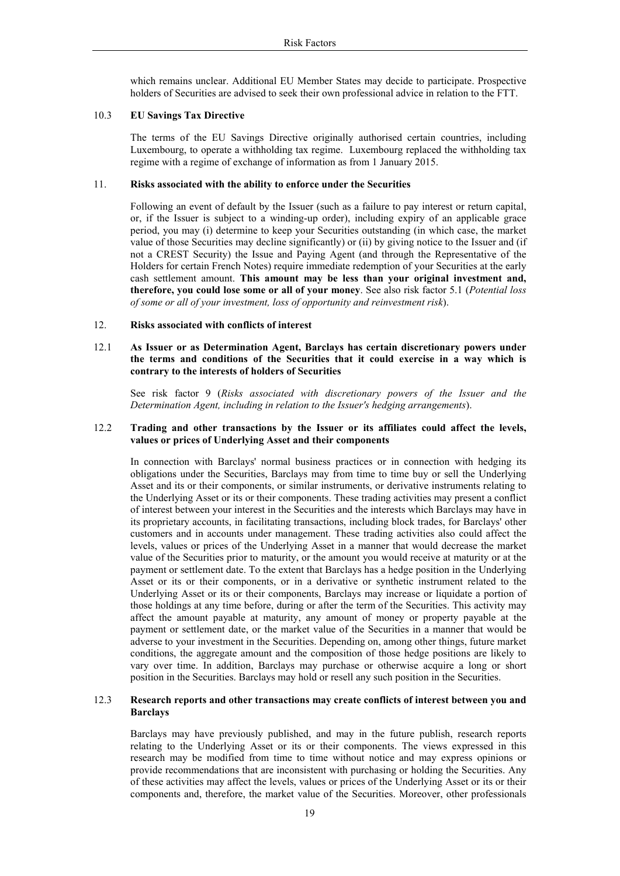which remains unclear. Additional EU Member States may decide to participate. Prospective holders of Securities are advised to seek their own professional advice in relation to the FTT.

## 10.3 **EU Savings Tax Directive**

The terms of the EU Savings Directive originally authorised certain countries, including Luxembourg, to operate a withholding tax regime. Luxembourg replaced the withholding tax regime with a regime of exchange of information as from 1 January 2015.

## 11. **Risks associated with the ability to enforce under the Securities**

Following an event of default by the Issuer (such as a failure to pay interest or return capital, or, if the Issuer is subject to a winding-up order), including expiry of an applicable grace period, you may (i) determine to keep your Securities outstanding (in which case, the market value of those Securities may decline significantly) or (ii) by giving notice to the Issuer and (if not a CREST Security) the Issue and Paying Agent (and through the Representative of the Holders for certain French Notes) require immediate redemption of your Securities at the early cash settlement amount. **This amount may be less than your original investment and, therefore, you could lose some or all of your money**. See also risk factor 5.1 (*Potential loss of some or all of your investment, loss of opportunity and reinvestment risk*).

## 12. **Risks associated with conflicts of interest**

## 12.1 **As Issuer or as Determination Agent, Barclays has certain discretionary powers under the terms and conditions of the Securities that it could exercise in a way which is contrary to the interests of holders of Securities**

See risk factor 9 (*Risks associated with discretionary powers of the Issuer and the Determination Agent, including in relation to the Issuer's hedging arrangements*).

## 12.2 **Trading and other transactions by the Issuer or its affiliates could affect the levels, values or prices of Underlying Asset and their components**

In connection with Barclays' normal business practices or in connection with hedging its obligations under the Securities, Barclays may from time to time buy or sell the Underlying Asset and its or their components, or similar instruments, or derivative instruments relating to the Underlying Asset or its or their components. These trading activities may present a conflict of interest between your interest in the Securities and the interests which Barclays may have in its proprietary accounts, in facilitating transactions, including block trades, for Barclays' other customers and in accounts under management. These trading activities also could affect the levels, values or prices of the Underlying Asset in a manner that would decrease the market value of the Securities prior to maturity, or the amount you would receive at maturity or at the payment or settlement date. To the extent that Barclays has a hedge position in the Underlying Asset or its or their components, or in a derivative or synthetic instrument related to the Underlying Asset or its or their components, Barclays may increase or liquidate a portion of those holdings at any time before, during or after the term of the Securities. This activity may affect the amount payable at maturity, any amount of money or property payable at the payment or settlement date, or the market value of the Securities in a manner that would be adverse to your investment in the Securities. Depending on, among other things, future market conditions, the aggregate amount and the composition of those hedge positions are likely to vary over time. In addition, Barclays may purchase or otherwise acquire a long or short position in the Securities. Barclays may hold or resell any such position in the Securities.

## 12.3 **Research reports and other transactions may create conflicts of interest between you and Barclays**

Barclays may have previously published, and may in the future publish, research reports relating to the Underlying Asset or its or their components. The views expressed in this research may be modified from time to time without notice and may express opinions or provide recommendations that are inconsistent with purchasing or holding the Securities. Any of these activities may affect the levels, values or prices of the Underlying Asset or its or their components and, therefore, the market value of the Securities. Moreover, other professionals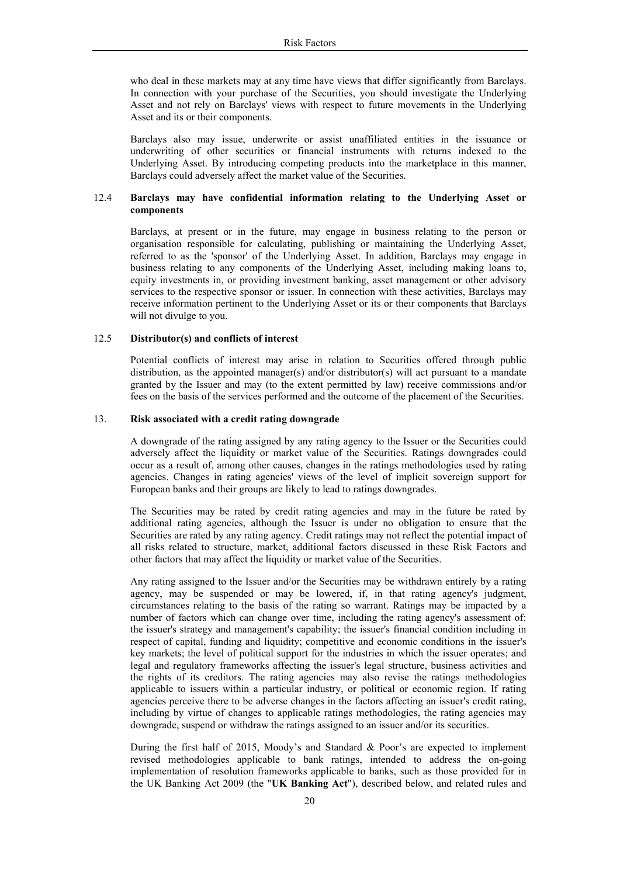who deal in these markets may at any time have views that differ significantly from Barclays. In connection with your purchase of the Securities, you should investigate the Underlying Asset and not rely on Barclays' views with respect to future movements in the Underlying Asset and its or their components.

Barclays also may issue, underwrite or assist unaffiliated entities in the issuance or underwriting of other securities or financial instruments with returns indexed to the Underlying Asset. By introducing competing products into the marketplace in this manner, Barclays could adversely affect the market value of the Securities.

## 12.4 **Barclays may have confidential information relating to the Underlying Asset or components**

Barclays, at present or in the future, may engage in business relating to the person or organisation responsible for calculating, publishing or maintaining the Underlying Asset, referred to as the 'sponsor' of the Underlying Asset. In addition, Barclays may engage in business relating to any components of the Underlying Asset, including making loans to, equity investments in, or providing investment banking, asset management or other advisory services to the respective sponsor or issuer. In connection with these activities, Barclays may receive information pertinent to the Underlying Asset or its or their components that Barclays will not divulge to you.

## 12.5 **Distributor(s) and conflicts of interest**

Potential conflicts of interest may arise in relation to Securities offered through public distribution, as the appointed manager(s) and/or distributor(s) will act pursuant to a mandate granted by the Issuer and may (to the extent permitted by law) receive commissions and/or fees on the basis of the services performed and the outcome of the placement of the Securities.

## 13. **Risk associated with a credit rating downgrade**

A downgrade of the rating assigned by any rating agency to the Issuer or the Securities could adversely affect the liquidity or market value of the Securities. Ratings downgrades could occur as a result of, among other causes, changes in the ratings methodologies used by rating agencies. Changes in rating agencies' views of the level of implicit sovereign support for European banks and their groups are likely to lead to ratings downgrades.

The Securities may be rated by credit rating agencies and may in the future be rated by additional rating agencies, although the Issuer is under no obligation to ensure that the Securities are rated by any rating agency. Credit ratings may not reflect the potential impact of all risks related to structure, market, additional factors discussed in these Risk Factors and other factors that may affect the liquidity or market value of the Securities.

Any rating assigned to the Issuer and/or the Securities may be withdrawn entirely by a rating agency, may be suspended or may be lowered, if, in that rating agency's judgment, circumstances relating to the basis of the rating so warrant. Ratings may be impacted by a number of factors which can change over time, including the rating agency's assessment of: the issuer's strategy and management's capability; the issuer's financial condition including in respect of capital, funding and liquidity; competitive and economic conditions in the issuer's key markets; the level of political support for the industries in which the issuer operates; and legal and regulatory frameworks affecting the issuer's legal structure, business activities and the rights of its creditors. The rating agencies may also revise the ratings methodologies applicable to issuers within a particular industry, or political or economic region. If rating agencies perceive there to be adverse changes in the factors affecting an issuer's credit rating, including by virtue of changes to applicable ratings methodologies, the rating agencies may downgrade, suspend or withdraw the ratings assigned to an issuer and/or its securities.

During the first half of 2015, Moody's and Standard & Poor's are expected to implement revised methodologies applicable to bank ratings, intended to address the on-going implementation of resolution frameworks applicable to banks, such as those provided for in the UK Banking Act 2009 (the "**UK Banking Act**"), described below, and related rules and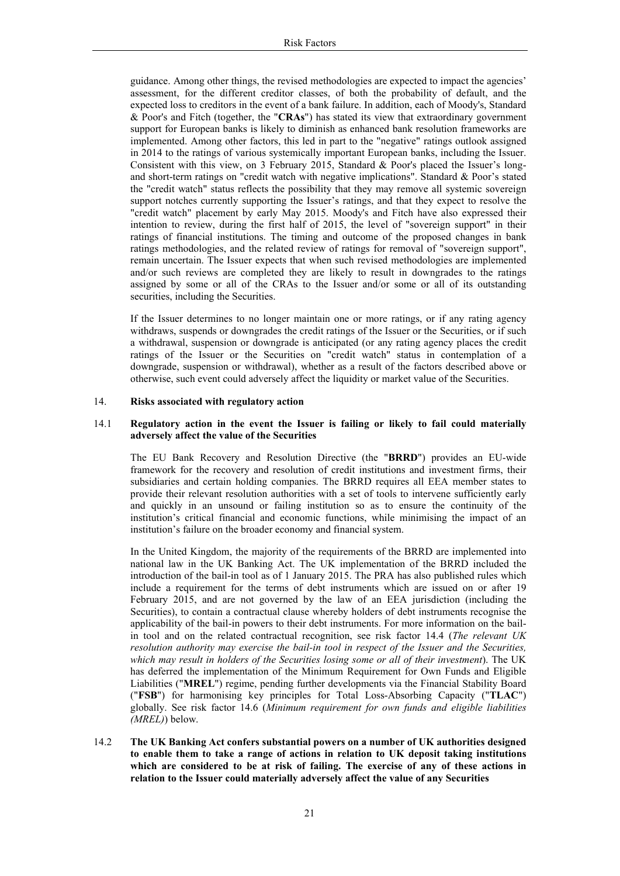guidance. Among other things, the revised methodologies are expected to impact the agencies' assessment, for the different creditor classes, of both the probability of default, and the expected loss to creditors in the event of a bank failure. In addition, each of Moody's, Standard & Poor's and Fitch (together, the "**CRAs**") has stated its view that extraordinary government support for European banks is likely to diminish as enhanced bank resolution frameworks are implemented. Among other factors, this led in part to the "negative" ratings outlook assigned in 2014 to the ratings of various systemically important European banks, including the Issuer. Consistent with this view, on 3 February 2015, Standard & Poor's placed the Issuer's longand short-term ratings on "credit watch with negative implications". Standard & Poor's stated the "credit watch" status reflects the possibility that they may remove all systemic sovereign support notches currently supporting the Issuer's ratings, and that they expect to resolve the "credit watch" placement by early May 2015. Moody's and Fitch have also expressed their intention to review, during the first half of 2015, the level of "sovereign support" in their ratings of financial institutions. The timing and outcome of the proposed changes in bank ratings methodologies, and the related review of ratings for removal of "sovereign support", remain uncertain. The Issuer expects that when such revised methodologies are implemented and/or such reviews are completed they are likely to result in downgrades to the ratings assigned by some or all of the CRAs to the Issuer and/or some or all of its outstanding securities, including the Securities.

If the Issuer determines to no longer maintain one or more ratings, or if any rating agency withdraws, suspends or downgrades the credit ratings of the Issuer or the Securities, or if such a withdrawal, suspension or downgrade is anticipated (or any rating agency places the credit ratings of the Issuer or the Securities on "credit watch" status in contemplation of a downgrade, suspension or withdrawal), whether as a result of the factors described above or otherwise, such event could adversely affect the liquidity or market value of the Securities.

## 14. **Risks associated with regulatory action**

## 14.1 **Regulatory action in the event the Issuer is failing or likely to fail could materially adversely affect the value of the Securities**

The EU Bank Recovery and Resolution Directive (the "**BRRD**") provides an EU-wide framework for the recovery and resolution of credit institutions and investment firms, their subsidiaries and certain holding companies. The BRRD requires all EEA member states to provide their relevant resolution authorities with a set of tools to intervene sufficiently early and quickly in an unsound or failing institution so as to ensure the continuity of the institution's critical financial and economic functions, while minimising the impact of an institution's failure on the broader economy and financial system.

In the United Kingdom, the majority of the requirements of the BRRD are implemented into national law in the UK Banking Act. The UK implementation of the BRRD included the introduction of the bail-in tool as of 1 January 2015. The PRA has also published rules which include a requirement for the terms of debt instruments which are issued on or after 19 February 2015, and are not governed by the law of an EEA jurisdiction (including the Securities), to contain a contractual clause whereby holders of debt instruments recognise the applicability of the bail-in powers to their debt instruments. For more information on the bailin tool and on the related contractual recognition, see risk factor 14.4 (*The relevant UK resolution authority may exercise the bail-in tool in respect of the Issuer and the Securities, which may result in holders of the Securities losing some or all of their investment*). The UK has deferred the implementation of the Minimum Requirement for Own Funds and Eligible Liabilities ("**MREL**") regime, pending further developments via the Financial Stability Board ("**FSB**") for harmonising key principles for Total Loss-Absorbing Capacity ("**TLAC**") globally. See risk factor 14.6 (*Minimum requirement for own funds and eligible liabilities (MREL)*) below.

14.2 **The UK Banking Act confers substantial powers on a number of UK authorities designed to enable them to take a range of actions in relation to UK deposit taking institutions which are considered to be at risk of failing. The exercise of any of these actions in relation to the Issuer could materially adversely affect the value of any Securities**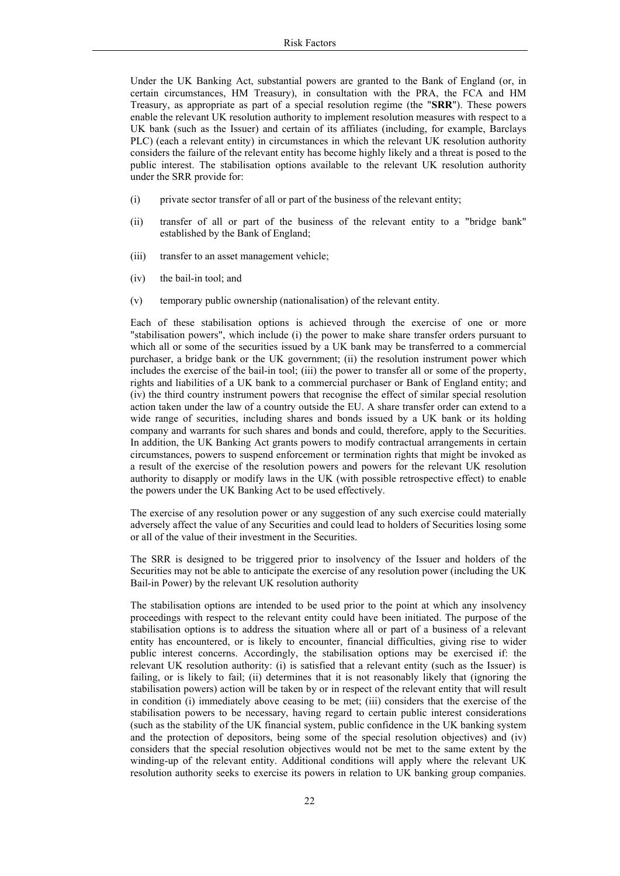Under the UK Banking Act, substantial powers are granted to the Bank of England (or, in certain circumstances, HM Treasury), in consultation with the PRA, the FCA and HM Treasury, as appropriate as part of a special resolution regime (the "**SRR**"). These powers enable the relevant UK resolution authority to implement resolution measures with respect to a UK bank (such as the Issuer) and certain of its affiliates (including, for example, Barclays PLC) (each a relevant entity) in circumstances in which the relevant UK resolution authority considers the failure of the relevant entity has become highly likely and a threat is posed to the public interest. The stabilisation options available to the relevant UK resolution authority under the SRR provide for:

- (i) private sector transfer of all or part of the business of the relevant entity;
- (ii) transfer of all or part of the business of the relevant entity to a "bridge bank" established by the Bank of England;
- (iii) transfer to an asset management vehicle;
- (iv) the bail-in tool; and
- (v) temporary public ownership (nationalisation) of the relevant entity.

Each of these stabilisation options is achieved through the exercise of one or more "stabilisation powers", which include (i) the power to make share transfer orders pursuant to which all or some of the securities issued by a UK bank may be transferred to a commercial purchaser, a bridge bank or the UK government; (ii) the resolution instrument power which includes the exercise of the bail-in tool; (iii) the power to transfer all or some of the property, rights and liabilities of a UK bank to a commercial purchaser or Bank of England entity; and (iv) the third country instrument powers that recognise the effect of similar special resolution action taken under the law of a country outside the EU. A share transfer order can extend to a wide range of securities, including shares and bonds issued by a UK bank or its holding company and warrants for such shares and bonds and could, therefore, apply to the Securities. In addition, the UK Banking Act grants powers to modify contractual arrangements in certain circumstances, powers to suspend enforcement or termination rights that might be invoked as a result of the exercise of the resolution powers and powers for the relevant UK resolution authority to disapply or modify laws in the UK (with possible retrospective effect) to enable the powers under the UK Banking Act to be used effectively.

The exercise of any resolution power or any suggestion of any such exercise could materially adversely affect the value of any Securities and could lead to holders of Securities losing some or all of the value of their investment in the Securities.

The SRR is designed to be triggered prior to insolvency of the Issuer and holders of the Securities may not be able to anticipate the exercise of any resolution power (including the UK Bail-in Power) by the relevant UK resolution authority

The stabilisation options are intended to be used prior to the point at which any insolvency proceedings with respect to the relevant entity could have been initiated. The purpose of the stabilisation options is to address the situation where all or part of a business of a relevant entity has encountered, or is likely to encounter, financial difficulties, giving rise to wider public interest concerns. Accordingly, the stabilisation options may be exercised if: the relevant UK resolution authority: (i) is satisfied that a relevant entity (such as the Issuer) is failing, or is likely to fail; (ii) determines that it is not reasonably likely that (ignoring the stabilisation powers) action will be taken by or in respect of the relevant entity that will result in condition (i) immediately above ceasing to be met; (iii) considers that the exercise of the stabilisation powers to be necessary, having regard to certain public interest considerations (such as the stability of the UK financial system, public confidence in the UK banking system and the protection of depositors, being some of the special resolution objectives) and (iv) considers that the special resolution objectives would not be met to the same extent by the winding-up of the relevant entity. Additional conditions will apply where the relevant UK resolution authority seeks to exercise its powers in relation to UK banking group companies.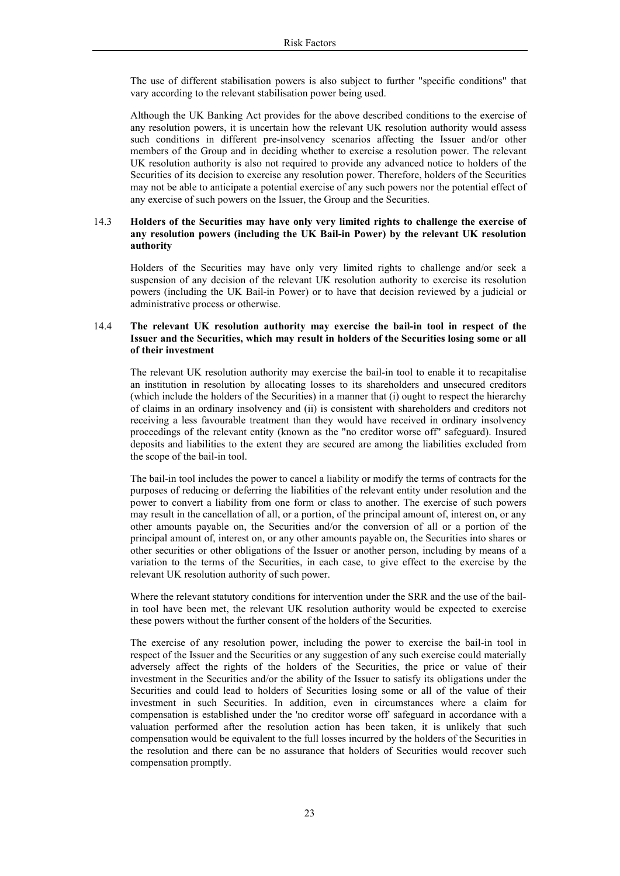The use of different stabilisation powers is also subject to further "specific conditions" that vary according to the relevant stabilisation power being used.

Although the UK Banking Act provides for the above described conditions to the exercise of any resolution powers, it is uncertain how the relevant UK resolution authority would assess such conditions in different pre-insolvency scenarios affecting the Issuer and/or other members of the Group and in deciding whether to exercise a resolution power. The relevant UK resolution authority is also not required to provide any advanced notice to holders of the Securities of its decision to exercise any resolution power. Therefore, holders of the Securities may not be able to anticipate a potential exercise of any such powers nor the potential effect of any exercise of such powers on the Issuer, the Group and the Securities.

## 14.3 **Holders of the Securities may have only very limited rights to challenge the exercise of any resolution powers (including the UK Bail-in Power) by the relevant UK resolution authority**

Holders of the Securities may have only very limited rights to challenge and/or seek a suspension of any decision of the relevant UK resolution authority to exercise its resolution powers (including the UK Bail-in Power) or to have that decision reviewed by a judicial or administrative process or otherwise.

## 14.4 **The relevant UK resolution authority may exercise the bail-in tool in respect of the Issuer and the Securities, which may result in holders of the Securities losing some or all of their investment**

The relevant UK resolution authority may exercise the bail-in tool to enable it to recapitalise an institution in resolution by allocating losses to its shareholders and unsecured creditors (which include the holders of the Securities) in a manner that (i) ought to respect the hierarchy of claims in an ordinary insolvency and (ii) is consistent with shareholders and creditors not receiving a less favourable treatment than they would have received in ordinary insolvency proceedings of the relevant entity (known as the "no creditor worse off" safeguard). Insured deposits and liabilities to the extent they are secured are among the liabilities excluded from the scope of the bail-in tool.

The bail-in tool includes the power to cancel a liability or modify the terms of contracts for the purposes of reducing or deferring the liabilities of the relevant entity under resolution and the power to convert a liability from one form or class to another. The exercise of such powers may result in the cancellation of all, or a portion, of the principal amount of, interest on, or any other amounts payable on, the Securities and/or the conversion of all or a portion of the principal amount of, interest on, or any other amounts payable on, the Securities into shares or other securities or other obligations of the Issuer or another person, including by means of a variation to the terms of the Securities, in each case, to give effect to the exercise by the relevant UK resolution authority of such power.

Where the relevant statutory conditions for intervention under the SRR and the use of the bailin tool have been met, the relevant UK resolution authority would be expected to exercise these powers without the further consent of the holders of the Securities.

The exercise of any resolution power, including the power to exercise the bail-in tool in respect of the Issuer and the Securities or any suggestion of any such exercise could materially adversely affect the rights of the holders of the Securities, the price or value of their investment in the Securities and/or the ability of the Issuer to satisfy its obligations under the Securities and could lead to holders of Securities losing some or all of the value of their investment in such Securities. In addition, even in circumstances where a claim for compensation is established under the 'no creditor worse off' safeguard in accordance with a valuation performed after the resolution action has been taken, it is unlikely that such compensation would be equivalent to the full losses incurred by the holders of the Securities in the resolution and there can be no assurance that holders of Securities would recover such compensation promptly.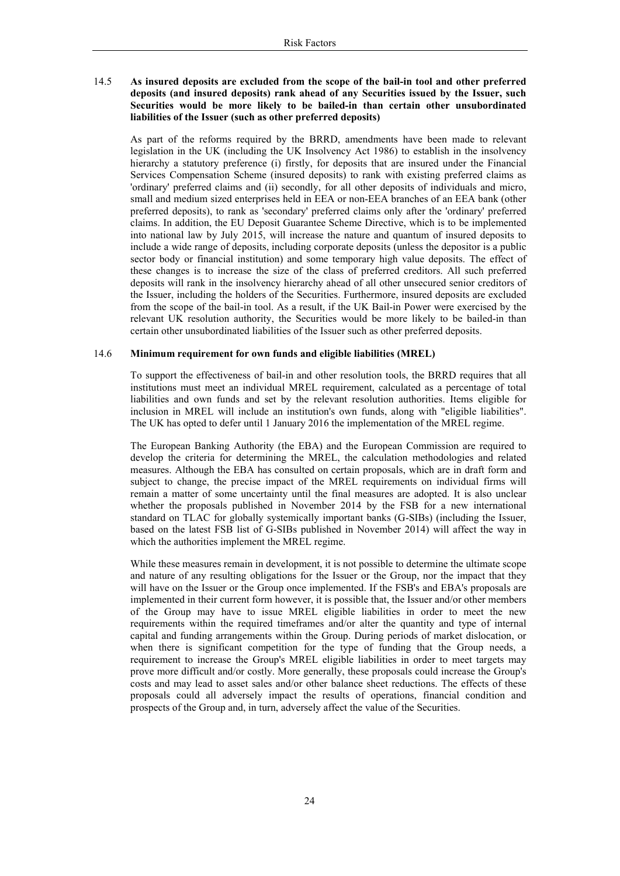## 14.5 **As insured deposits are excluded from the scope of the bail-in tool and other preferred deposits (and insured deposits) rank ahead of any Securities issued by the Issuer, such Securities would be more likely to be bailed-in than certain other unsubordinated liabilities of the Issuer (such as other preferred deposits)**

As part of the reforms required by the BRRD, amendments have been made to relevant legislation in the UK (including the UK Insolvency Act 1986) to establish in the insolvency hierarchy a statutory preference (i) firstly, for deposits that are insured under the Financial Services Compensation Scheme (insured deposits) to rank with existing preferred claims as 'ordinary' preferred claims and (ii) secondly, for all other deposits of individuals and micro, small and medium sized enterprises held in EEA or non-EEA branches of an EEA bank (other preferred deposits), to rank as 'secondary' preferred claims only after the 'ordinary' preferred claims. In addition, the EU Deposit Guarantee Scheme Directive, which is to be implemented into national law by July 2015, will increase the nature and quantum of insured deposits to include a wide range of deposits, including corporate deposits (unless the depositor is a public sector body or financial institution) and some temporary high value deposits. The effect of these changes is to increase the size of the class of preferred creditors. All such preferred deposits will rank in the insolvency hierarchy ahead of all other unsecured senior creditors of the Issuer, including the holders of the Securities. Furthermore, insured deposits are excluded from the scope of the bail-in tool. As a result, if the UK Bail-in Power were exercised by the relevant UK resolution authority, the Securities would be more likely to be bailed-in than certain other unsubordinated liabilities of the Issuer such as other preferred deposits.

#### 14.6 **Minimum requirement for own funds and eligible liabilities (MREL)**

To support the effectiveness of bail-in and other resolution tools, the BRRD requires that all institutions must meet an individual MREL requirement, calculated as a percentage of total liabilities and own funds and set by the relevant resolution authorities. Items eligible for inclusion in MREL will include an institution's own funds, along with "eligible liabilities". The UK has opted to defer until 1 January 2016 the implementation of the MREL regime.

The European Banking Authority (the EBA) and the European Commission are required to develop the criteria for determining the MREL, the calculation methodologies and related measures. Although the EBA has consulted on certain proposals, which are in draft form and subject to change, the precise impact of the MREL requirements on individual firms will remain a matter of some uncertainty until the final measures are adopted. It is also unclear whether the proposals published in November 2014 by the FSB for a new international standard on TLAC for globally systemically important banks (G-SIBs) (including the Issuer, based on the latest FSB list of G-SIBs published in November 2014) will affect the way in which the authorities implement the MREL regime.

While these measures remain in development, it is not possible to determine the ultimate scope and nature of any resulting obligations for the Issuer or the Group, nor the impact that they will have on the Issuer or the Group once implemented. If the FSB's and EBA's proposals are implemented in their current form however, it is possible that, the Issuer and/or other members of the Group may have to issue MREL eligible liabilities in order to meet the new requirements within the required timeframes and/or alter the quantity and type of internal capital and funding arrangements within the Group. During periods of market dislocation, or when there is significant competition for the type of funding that the Group needs, a requirement to increase the Group's MREL eligible liabilities in order to meet targets may prove more difficult and/or costly. More generally, these proposals could increase the Group's costs and may lead to asset sales and/or other balance sheet reductions. The effects of these proposals could all adversely impact the results of operations, financial condition and prospects of the Group and, in turn, adversely affect the value of the Securities.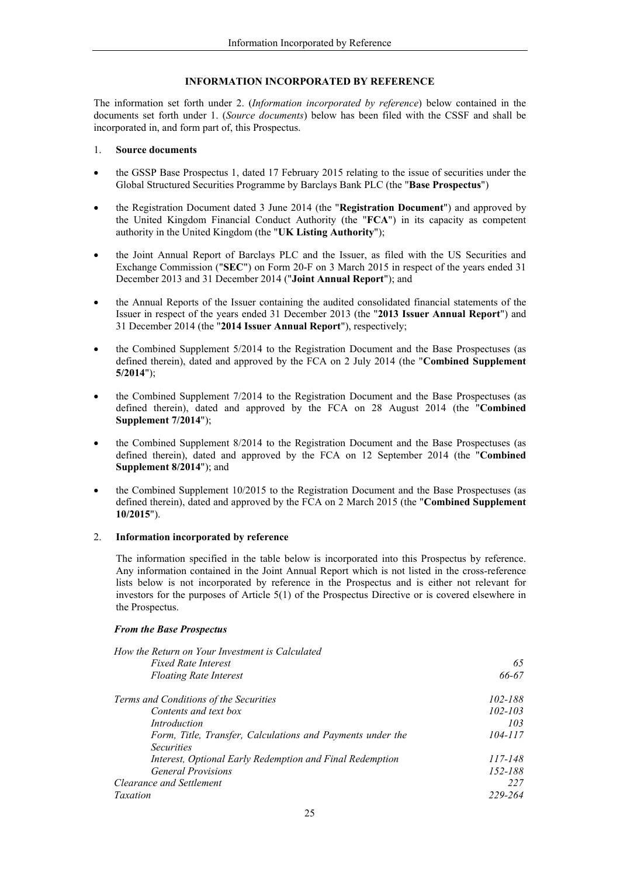## **INFORMATION INCORPORATED BY REFERENCE**

The information set forth under 2. (*Information incorporated by reference*) below contained in the documents set forth under 1. (*Source documents*) below has been filed with the CSSF and shall be incorporated in, and form part of, this Prospectus.

## 1. **Source documents**

- the GSSP Base Prospectus 1, dated 17 February 2015 relating to the issue of securities under the Global Structured Securities Programme by Barclays Bank PLC (the "**Base Prospectus**")
- the Registration Document dated 3 June 2014 (the "**Registration Document**") and approved by the United Kingdom Financial Conduct Authority (the "**FCA**") in its capacity as competent authority in the United Kingdom (the "**UK Listing Authority**");
- the Joint Annual Report of Barclays PLC and the Issuer, as filed with the US Securities and Exchange Commission ("**SEC**") on Form 20-F on 3 March 2015 in respect of the years ended 31 December 2013 and 31 December 2014 ("**Joint Annual Report**"); and
- the Annual Reports of the Issuer containing the audited consolidated financial statements of the Issuer in respect of the years ended 31 December 2013 (the "**2013 Issuer Annual Report**") and 31 December 2014 (the "**2014 Issuer Annual Report**"), respectively;
- the Combined Supplement 5/2014 to the Registration Document and the Base Prospectuses (as defined therein), dated and approved by the FCA on 2 July 2014 (the "**Combined Supplement 5/2014**");
- the Combined Supplement 7/2014 to the Registration Document and the Base Prospectuses (as defined therein), dated and approved by the FCA on 28 August 2014 (the "**Combined Supplement 7/2014**");
- the Combined Supplement 8/2014 to the Registration Document and the Base Prospectuses (as defined therein), dated and approved by the FCA on 12 September 2014 (the "**Combined Supplement 8/2014**"); and
- the Combined Supplement 10/2015 to the Registration Document and the Base Prospectuses (as defined therein), dated and approved by the FCA on 2 March 2015 (the "**Combined Supplement 10/2015**").

## 2. **Information incorporated by reference**

The information specified in the table below is incorporated into this Prospectus by reference. Any information contained in the Joint Annual Report which is not listed in the cross-reference lists below is not incorporated by reference in the Prospectus and is either not relevant for investors for the purposes of Article 5(1) of the Prospectus Directive or is covered elsewhere in the Prospectus.

## *From the Base Prospectus*

| How the Return on Your Investment is Calculated            |             |
|------------------------------------------------------------|-------------|
| <b>Fixed Rate Interest</b>                                 | 65          |
| <b>Floating Rate Interest</b>                              | 66-67       |
| Terms and Conditions of the Securities                     | 102-188     |
| Contents and text box                                      | $102 - 103$ |
| Introduction                                               | 103         |
| Form, Title, Transfer, Calculations and Payments under the | 104-117     |
| <i>Securities</i>                                          |             |
| Interest, Optional Early Redemption and Final Redemption   | 117-148     |
| <b>General Provisions</b>                                  | 152-188     |
| Clearance and Settlement                                   | 227         |
| Taxation                                                   | 229-264     |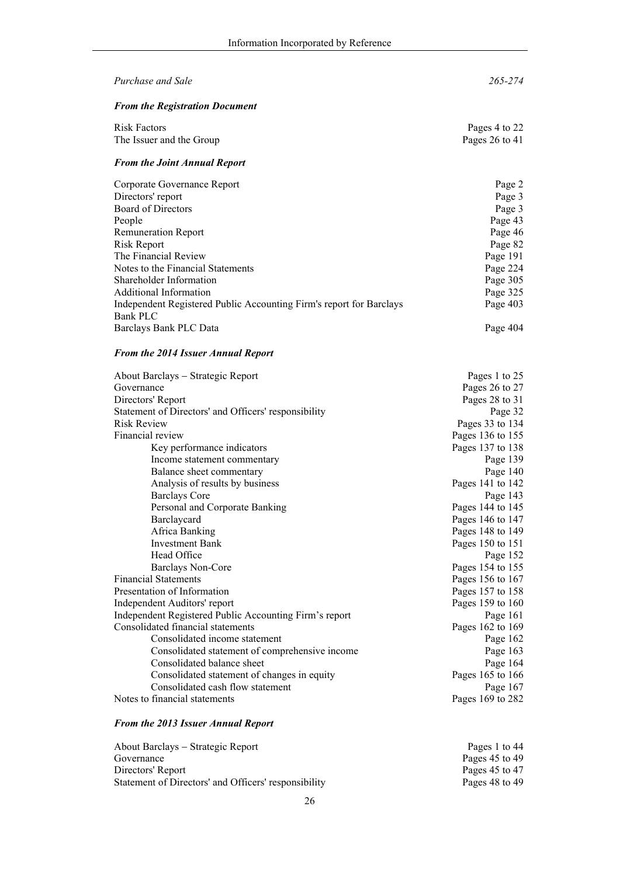| Purchase and Sale                                                                      | 265-274            |
|----------------------------------------------------------------------------------------|--------------------|
| <b>From the Registration Document</b>                                                  |                    |
| <b>Risk Factors</b>                                                                    | Pages 4 to 22      |
| The Issuer and the Group                                                               | Pages $26$ to $41$ |
| <b>From the Joint Annual Report</b>                                                    |                    |
| Corporate Governance Report                                                            | Page 2             |
| Directors' report                                                                      | Page 3             |
| <b>Board of Directors</b>                                                              | Page 3             |
| People                                                                                 | Page 43            |
| <b>Remuneration Report</b>                                                             | Page 46            |
| Risk Report                                                                            | Page 82            |
| The Financial Review                                                                   | Page 191           |
| Notes to the Financial Statements                                                      | Page 224           |
| Shareholder Information                                                                | Page 305           |
| <b>Additional Information</b>                                                          | Page 325           |
| Independent Registered Public Accounting Firm's report for Barclays<br><b>Bank PLC</b> | Page 403           |
| Barclays Bank PLC Data                                                                 | Page 404           |

# *From the 2014 Issuer Annual Report*

| About Barclays – Strategic Report                      | Pages 1 to 25    |
|--------------------------------------------------------|------------------|
| Governance                                             | Pages 26 to 27   |
| Directors' Report                                      | Pages 28 to 31   |
| Statement of Directors' and Officers' responsibility   | Page 32          |
| <b>Risk Review</b>                                     | Pages 33 to 134  |
| Financial review                                       | Pages 136 to 155 |
| Key performance indicators                             | Pages 137 to 138 |
| Income statement commentary                            | Page 139         |
| Balance sheet commentary                               | Page 140         |
| Analysis of results by business                        | Pages 141 to 142 |
| <b>Barclays Core</b>                                   | Page 143         |
| Personal and Corporate Banking                         | Pages 144 to 145 |
| Barclaycard                                            | Pages 146 to 147 |
| Africa Banking                                         | Pages 148 to 149 |
| <b>Investment Bank</b>                                 | Pages 150 to 151 |
| Head Office                                            | Page 152         |
| <b>Barclays Non-Core</b>                               | Pages 154 to 155 |
| <b>Financial Statements</b>                            | Pages 156 to 167 |
| Presentation of Information                            | Pages 157 to 158 |
| Independent Auditors' report                           | Pages 159 to 160 |
| Independent Registered Public Accounting Firm's report | Page 161         |
| Consolidated financial statements                      | Pages 162 to 169 |
| Consolidated income statement                          | Page 162         |
| Consolidated statement of comprehensive income         | Page 163         |
| Consolidated balance sheet                             | Page 164         |
| Consolidated statement of changes in equity            | Pages 165 to 166 |
| Consolidated cash flow statement                       | Page 167         |
| Notes to financial statements                          | Pages 169 to 282 |

## *From the 2013 Issuer Annual Report*

| About Barclays – Strategic Report                    | Pages 1 to 44  |
|------------------------------------------------------|----------------|
| Governance                                           | Pages 45 to 49 |
| Directors' Report                                    | Pages 45 to 47 |
| Statement of Directors' and Officers' responsibility | Pages 48 to 49 |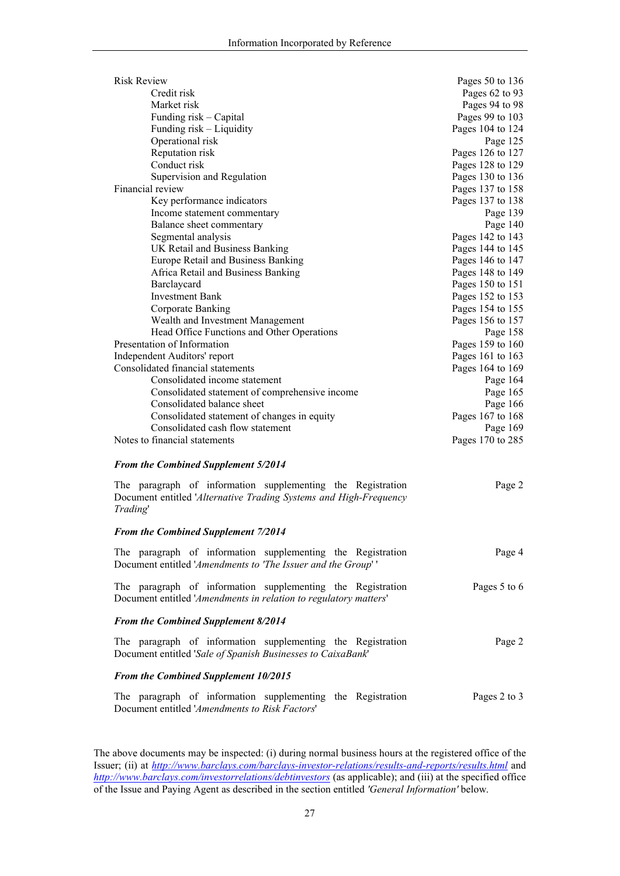| <b>Risk Review</b>                             | Pages 50 to 136  |
|------------------------------------------------|------------------|
| Credit risk                                    | Pages 62 to 93   |
| Market risk                                    | Pages 94 to 98   |
| Funding risk – Capital                         | Pages 99 to 103  |
| Funding risk – Liquidity                       | Pages 104 to 124 |
| Operational risk                               | Page 125         |
| Reputation risk                                | Pages 126 to 127 |
| Conduct risk                                   | Pages 128 to 129 |
| Supervision and Regulation                     | Pages 130 to 136 |
| Financial review                               | Pages 137 to 158 |
| Key performance indicators                     | Pages 137 to 138 |
| Income statement commentary                    | Page 139         |
| Balance sheet commentary                       | Page 140         |
| Segmental analysis                             | Pages 142 to 143 |
| UK Retail and Business Banking                 | Pages 144 to 145 |
| Europe Retail and Business Banking             | Pages 146 to 147 |
| Africa Retail and Business Banking             | Pages 148 to 149 |
| Barclaycard                                    | Pages 150 to 151 |
| <b>Investment Bank</b>                         | Pages 152 to 153 |
| Corporate Banking                              | Pages 154 to 155 |
| Wealth and Investment Management               | Pages 156 to 157 |
| Head Office Functions and Other Operations     | Page 158         |
| Presentation of Information                    | Pages 159 to 160 |
| Independent Auditors' report                   | Pages 161 to 163 |
| Consolidated financial statements              | Pages 164 to 169 |
| Consolidated income statement                  | Page 164         |
| Consolidated statement of comprehensive income | Page 165         |
| Consolidated balance sheet                     | Page 166         |
| Consolidated statement of changes in equity    | Pages 167 to 168 |
| Consolidated cash flow statement               | Page 169         |
| Notes to financial statements                  | Pages 170 to 285 |
| <b>From the Combined Supplement 5/2014</b>     |                  |

The paragraph of information supplementing the Registration Document entitled '*Alternative Trading Systems and High-Frequency Trading*' Page 2

## *From the Combined Supplement 7/2014*

| The paragraph of information supplementing the Registration                                                                     | Page 4       |
|---------------------------------------------------------------------------------------------------------------------------------|--------------|
| Document entitled 'Amendments to 'The Issuer and the Group''                                                                    |              |
| The paragraph of information supplementing the Registration<br>Document entitled 'Amendments in relation to regulatory matters' | Pages 5 to 6 |
| <b>From the Combined Supplement 8/2014</b>                                                                                      |              |
| The paragraph of information supplementing the Registration                                                                     | Page 2       |
| Document entitled 'Sale of Spanish Businesses to CaixaBank'                                                                     |              |

## *From the Combined Supplement 10/2015*

The paragraph of information supplementing the Registration Document entitled '*Amendments to Risk Factors*' Pages 2 to 3

The above documents may be inspected: (i) during normal business hours at the registered office of the Issuer; (ii) at *http://www.barclays.com/barclays-investor-relations/results-and-reports/results.html* and *http://www.barclays.com/investorrelations/debtinvestors* (as applicable); and (iii) at the specified office of the Issue and Paying Agent as described in the section entitled *'General Information'* below.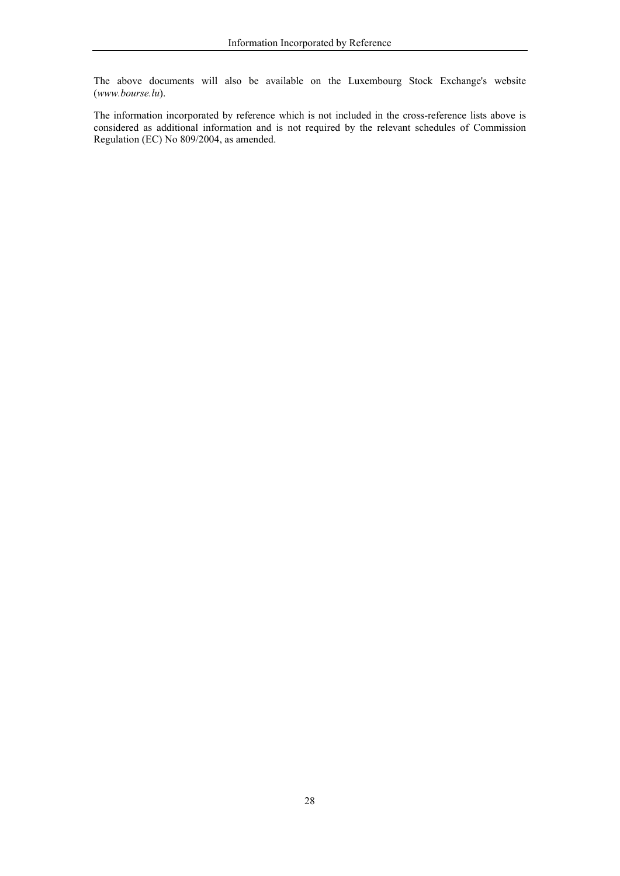The above documents will also be available on the Luxembourg Stock Exchange's website (*www.bourse.lu*).

The information incorporated by reference which is not included in the cross-reference lists above is considered as additional information and is not required by the relevant schedules of Commission Regulation (EC) No 809/2004, as amended.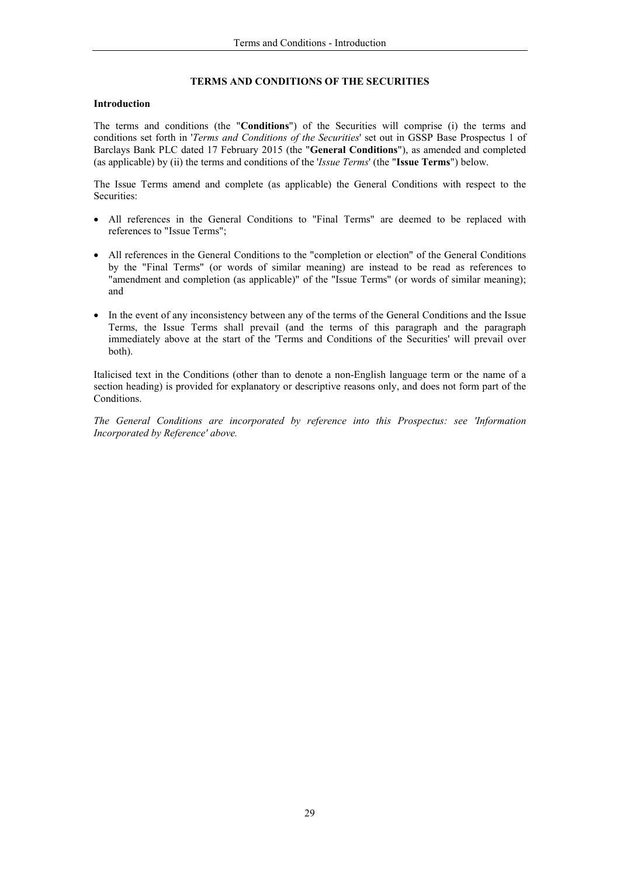## **TERMS AND CONDITIONS OF THE SECURITIES**

## **Introduction**

The terms and conditions (the "**Conditions**") of the Securities will comprise (i) the terms and conditions set forth in '*[Terms and Conditions of the Securities](http://www.barclays.com/barclays-investor-relations/results-and-reports/results.html)*' set out in GSSP Base Prospectus 1 of [Barclays Bank PLC dated 17 February 2015](http://www.barclays.com/investorrelations/debtinvestors) (the "**General Conditions**"), as amended and completed (as applicable) by (ii) the terms and conditions of the '*Issue Terms*' (the "**Issue Terms**") below.

The Issue Terms amend and complete (as applicable) the General Conditions with respect to the Securities:

- All references in the General Conditions to "Final Terms" are deemed to be replaced with references to "Issue Terms";
- All references in the General Conditions to the "completion or election" of the General Conditions by the "Final Terms" (or words of similar meaning) are instead to be read as references to "amendment and completion (as applicable)" of the "Issue Terms" (or words of similar meaning); and
- In the event of any inconsistency between any of the terms of the General Conditions and the Issue Terms, the Issue Terms shall prevail (and the terms of this paragraph and the paragraph immediately above at the start of the 'Terms and Conditions of the Securities' will prevail over both).

Italicised text in the Conditions (other than to denote a non-English language term or the name of a section heading) is provided for explanatory or descriptive reasons only, and does not form part of the Conditions.

*The General Conditions are incorporated by reference into this Prospectus: see 'Information Incorporated by Reference' above.*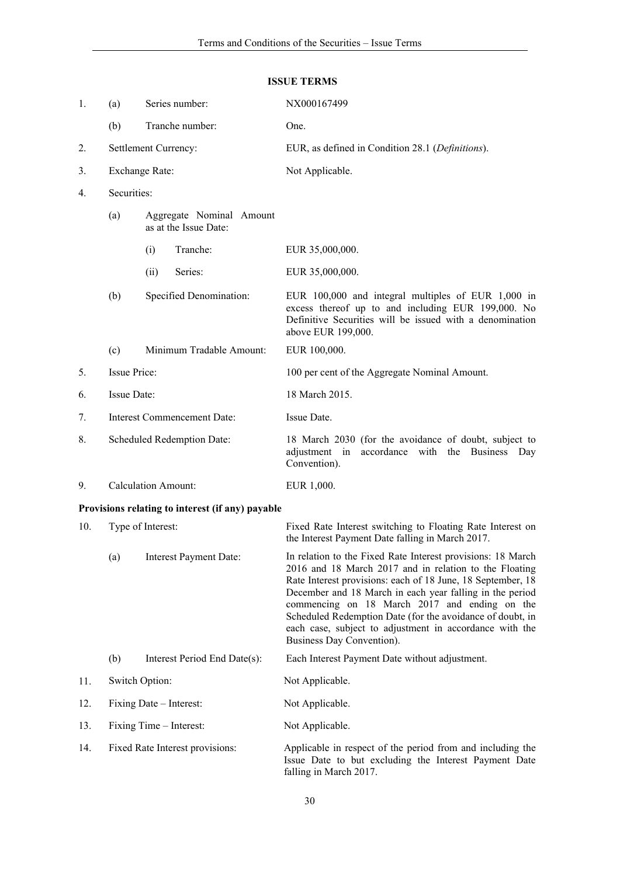| 1.  | (a)                                                                     | Series number: |                                                  | NX000167499                                                                                                                                                                                                |
|-----|-------------------------------------------------------------------------|----------------|--------------------------------------------------|------------------------------------------------------------------------------------------------------------------------------------------------------------------------------------------------------------|
|     | (b)                                                                     |                | Tranche number:                                  | One.                                                                                                                                                                                                       |
| 2.  | Settlement Currency:                                                    |                |                                                  | EUR, as defined in Condition 28.1 (Definitions).                                                                                                                                                           |
| 3.  | Exchange Rate:                                                          |                |                                                  | Not Applicable.                                                                                                                                                                                            |
| 4.  | Securities:<br>(a)<br>Aggregate Nominal Amount<br>as at the Issue Date: |                |                                                  |                                                                                                                                                                                                            |
|     |                                                                         |                |                                                  |                                                                                                                                                                                                            |
|     |                                                                         | (i)            | Tranche:                                         | EUR 35,000,000.                                                                                                                                                                                            |
|     |                                                                         | (ii)           | Series:                                          | EUR 35,000,000.                                                                                                                                                                                            |
|     | (b)                                                                     |                | Specified Denomination:                          | EUR 100,000 and integral multiples of EUR 1,000 in<br>excess thereof up to and including EUR 199,000. No<br>Definitive Securities will be issued with a denomination<br>above EUR 199,000.                 |
|     | (c)                                                                     |                | Minimum Tradable Amount:                         | EUR 100,000.                                                                                                                                                                                               |
| 5.  | <b>Issue Price:</b>                                                     |                |                                                  | 100 per cent of the Aggregate Nominal Amount.                                                                                                                                                              |
| 6.  | Issue Date:                                                             |                |                                                  | 18 March 2015.                                                                                                                                                                                             |
| 7.  | <b>Interest Commencement Date:</b>                                      |                |                                                  | Issue Date.                                                                                                                                                                                                |
| 8.  | Scheduled Redemption Date:                                              |                |                                                  | 18 March 2030 (for the avoidance of doubt, subject to<br>accordance with the Business Day<br>adjustment in<br>Convention).                                                                                 |
| 9.  | <b>Calculation Amount:</b>                                              |                |                                                  | EUR 1,000.                                                                                                                                                                                                 |
|     |                                                                         |                | Provisions relating to interest (if any) payable |                                                                                                                                                                                                            |
| 10. | Type of Interest:                                                       |                |                                                  | Fixed Rate Interest switching to Floating Rate Interest on<br>the Interest Payment Date falling in March 2017.                                                                                             |
|     | (a)                                                                     |                | <b>Interest Payment Date:</b>                    | In relation to the Fixed Rate Interest provisions: 18 March<br>2016 and 18 March 2017 and in relation to the Floating<br>Data International information and $\frac{10}{2}$ T.10. Inner 10. Contemporar 10. |

#### **ISSUE TERMS**

Rate Interest provisions: each of 18 June, 18 September, 18 December and 18 March in each year falling in the period commencing on 18 March 2017 and ending on the Scheduled Redemption Date (for the avoidance of doubt, in each case, subject to adjustment in accordance with the Business Day Convention).

- (b) Interest Period End Date(s): Each Interest Payment Date without adjustment.
- 11. Switch Option: Not Applicable.

## 12. Fixing Date – Interest: Not Applicable.

13. Fixing Time – Interest: Not Applicable.

| 14. | Fixed Rate Interest provisions: | Applicable in respect of the period from and including the |
|-----|---------------------------------|------------------------------------------------------------|
|     |                                 | Issue Date to but excluding the Interest Payment Date      |
|     |                                 | falling in March 2017.                                     |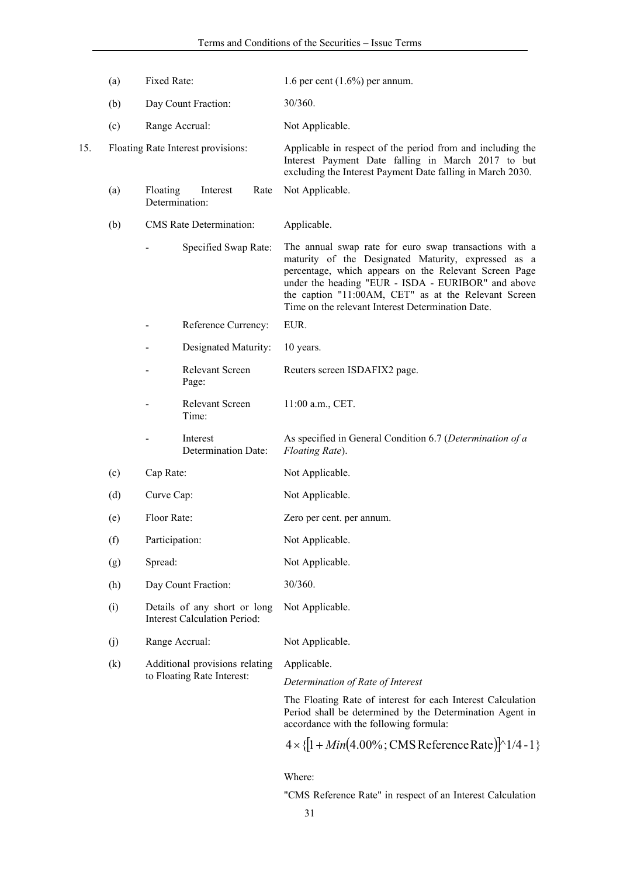| (a) | Fixed Rate:                                                         | 1.6 per cent $(1.6\%)$ per annum.                                                                                                                                                                                                                                                                                                         |
|-----|---------------------------------------------------------------------|-------------------------------------------------------------------------------------------------------------------------------------------------------------------------------------------------------------------------------------------------------------------------------------------------------------------------------------------|
| (b) | Day Count Fraction:                                                 | 30/360.                                                                                                                                                                                                                                                                                                                                   |
| (c) | Range Accrual:                                                      | Not Applicable.                                                                                                                                                                                                                                                                                                                           |
|     |                                                                     | Applicable in respect of the period from and including the<br>Interest Payment Date falling in March 2017 to but<br>excluding the Interest Payment Date falling in March 2030.                                                                                                                                                            |
| (a) | Floating<br>Interest<br>Determination:                              | Rate<br>Not Applicable.                                                                                                                                                                                                                                                                                                                   |
| (b) | <b>CMS</b> Rate Determination:                                      | Applicable.                                                                                                                                                                                                                                                                                                                               |
|     | Specified Swap Rate:                                                | The annual swap rate for euro swap transactions with a<br>maturity of the Designated Maturity, expressed as a<br>percentage, which appears on the Relevant Screen Page<br>under the heading "EUR - ISDA - EURIBOR" and above<br>the caption "11:00AM, CET" as at the Relevant Screen<br>Time on the relevant Interest Determination Date. |
|     | Reference Currency:                                                 | EUR.                                                                                                                                                                                                                                                                                                                                      |
|     | Designated Maturity:                                                | 10 years.                                                                                                                                                                                                                                                                                                                                 |
|     | <b>Relevant Screen</b><br>Page:                                     | Reuters screen ISDAFIX2 page.                                                                                                                                                                                                                                                                                                             |
|     | Relevant Screen<br>Time:                                            | 11:00 a.m., CET.                                                                                                                                                                                                                                                                                                                          |
|     | Interest<br>Determination Date:                                     | As specified in General Condition 6.7 (Determination of a<br>Floating Rate).                                                                                                                                                                                                                                                              |
| (c) | Cap Rate:                                                           | Not Applicable.                                                                                                                                                                                                                                                                                                                           |
| (d) | Curve Cap:                                                          | Not Applicable.                                                                                                                                                                                                                                                                                                                           |
| (e) | Floor Rate:                                                         | Zero per cent. per annum.                                                                                                                                                                                                                                                                                                                 |
| (f) | Participation:                                                      | Not Applicable.                                                                                                                                                                                                                                                                                                                           |
| (g) | Spread:                                                             | Not Applicable.                                                                                                                                                                                                                                                                                                                           |
| (h) | Day Count Fraction:                                                 | 30/360.                                                                                                                                                                                                                                                                                                                                   |
| (i) | Details of any short or long<br><b>Interest Calculation Period:</b> | Not Applicable.                                                                                                                                                                                                                                                                                                                           |
| (j) | Range Accrual:                                                      | Not Applicable.                                                                                                                                                                                                                                                                                                                           |
| (k) | Additional provisions relating                                      | Applicable.                                                                                                                                                                                                                                                                                                                               |
|     |                                                                     | Determination of Rate of Interest                                                                                                                                                                                                                                                                                                         |
|     |                                                                     | The Floating Rate of interest for each Interest Calculation<br>Period shall be determined by the Determination Agent in<br>accordance with the following formula:                                                                                                                                                                         |
|     |                                                                     | $4 \times \{[1 + Min(4.00\%; CMS Reference Rate)] \setminus 1/4 - 1\}$                                                                                                                                                                                                                                                                    |
|     |                                                                     | Floating Rate Interest provisions:<br>to Floating Rate Interest:                                                                                                                                                                                                                                                                          |

Where:

"CMS Reference Rate" in respect of an Interest Calculation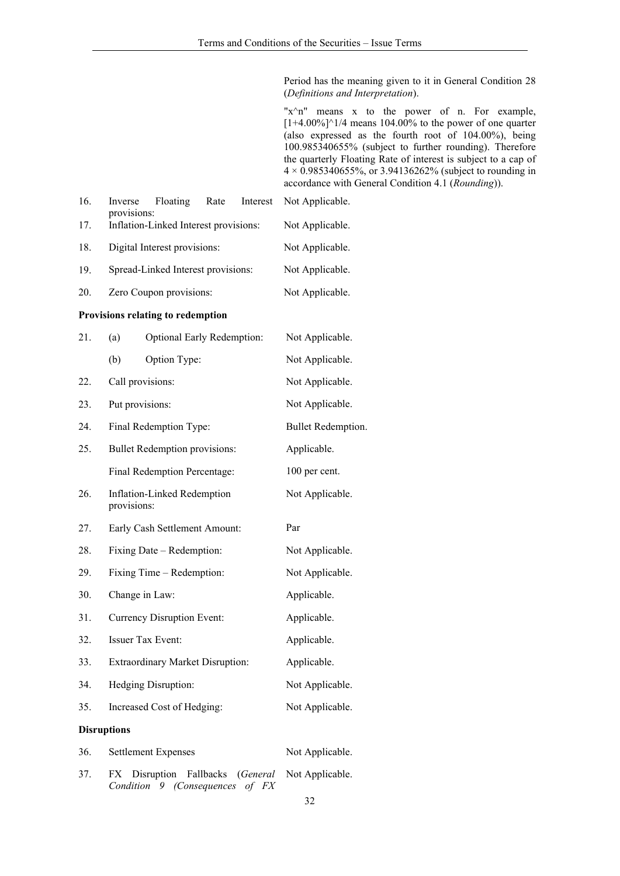Period has the meaning given to it in General Condition 28 (*Definitions and Interpretation*).

"x^n" means x to the power of n. For example,  $[1+4.00\%]$ <sup>^</sup>1/4 means 104.00% to the power of one quarter (also expressed as the fourth root of 104.00%), being 100.985340655% (subject to further rounding). Therefore the quarterly Floating Rate of interest is subject to a cap of  $4 \times 0.985340655\%$ , or 3.94136262% (subject to rounding in accordance with General Condition 4.1 (*Rounding*)).

| 16.                | Floating<br>Rate<br>Interest<br>Inverse                                                     | Not Applicable.    |  |  |
|--------------------|---------------------------------------------------------------------------------------------|--------------------|--|--|
| 17.                | provisions:<br>Inflation-Linked Interest provisions:                                        | Not Applicable.    |  |  |
| 18.                | Digital Interest provisions:                                                                | Not Applicable.    |  |  |
| 19.                | Spread-Linked Interest provisions:                                                          | Not Applicable.    |  |  |
| 20.                | Zero Coupon provisions:                                                                     | Not Applicable.    |  |  |
|                    | Provisions relating to redemption                                                           |                    |  |  |
| 21.                | (a)<br><b>Optional Early Redemption:</b>                                                    | Not Applicable.    |  |  |
|                    | Option Type:<br>(b)                                                                         | Not Applicable.    |  |  |
| 22.                | Call provisions:                                                                            | Not Applicable.    |  |  |
| 23.                | Put provisions:                                                                             | Not Applicable.    |  |  |
| 24.                | Final Redemption Type:                                                                      | Bullet Redemption. |  |  |
| 25.                | <b>Bullet Redemption provisions:</b>                                                        | Applicable.        |  |  |
|                    | Final Redemption Percentage:                                                                | 100 per cent.      |  |  |
| 26.                | <b>Inflation-Linked Redemption</b><br>provisions:                                           | Not Applicable.    |  |  |
| 27.                | Early Cash Settlement Amount:                                                               | Par                |  |  |
| 28.                | Fixing Date – Redemption:                                                                   | Not Applicable.    |  |  |
| 29.                | Fixing Time – Redemption:                                                                   | Not Applicable.    |  |  |
| 30.                | Change in Law:                                                                              | Applicable.        |  |  |
| 31.                | Currency Disruption Event:                                                                  | Applicable.        |  |  |
| 32.                | <b>Issuer Tax Event:</b>                                                                    | Applicable.        |  |  |
| 33.                | <b>Extraordinary Market Disruption:</b>                                                     | Applicable.        |  |  |
| 34.                | Hedging Disruption:                                                                         | Not Applicable.    |  |  |
| 35.                | Increased Cost of Hedging:                                                                  | Not Applicable.    |  |  |
| <b>Disruptions</b> |                                                                                             |                    |  |  |
| 36.                | <b>Settlement Expenses</b>                                                                  | Not Applicable.    |  |  |
| 37.                | Disruption<br>FX<br>Fallbacks<br>(General<br>Condition 9<br><i>(Consequences</i><br>of $FX$ | Not Applicable.    |  |  |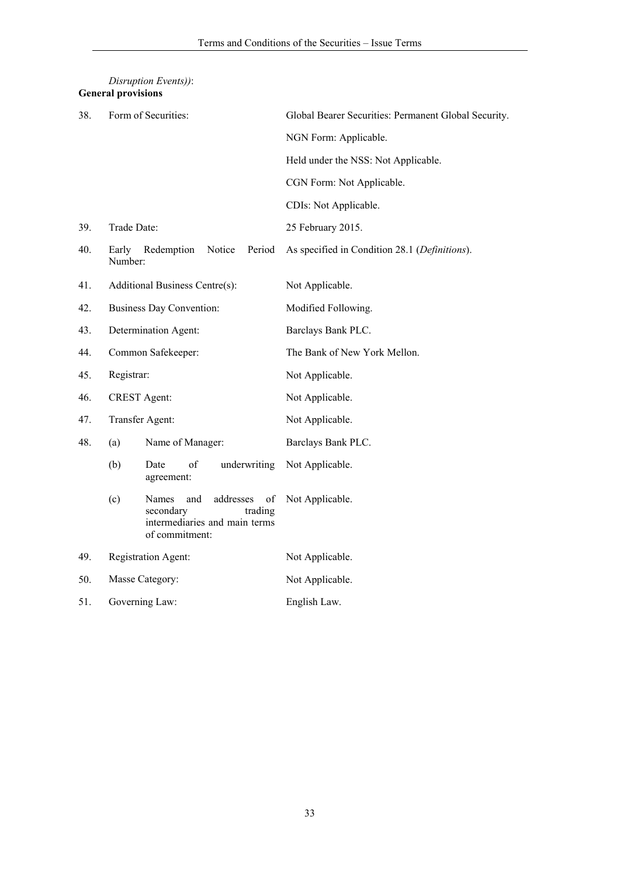|     | <b>General provisions</b> |                                                                                                            |                                                      |
|-----|---------------------------|------------------------------------------------------------------------------------------------------------|------------------------------------------------------|
| 38. |                           | Form of Securities:                                                                                        | Global Bearer Securities: Permanent Global Security. |
|     |                           |                                                                                                            | NGN Form: Applicable.                                |
|     |                           |                                                                                                            | Held under the NSS: Not Applicable.                  |
|     |                           |                                                                                                            | CGN Form: Not Applicable.                            |
|     |                           |                                                                                                            | CDIs: Not Applicable.                                |
| 39. | Trade Date:               |                                                                                                            | 25 February 2015.                                    |
| 40. | Early<br>Number:          | Redemption<br>Notice<br>Period                                                                             | As specified in Condition 28.1 (Definitions).        |
| 41. |                           | Additional Business Centre(s):                                                                             | Not Applicable.                                      |
| 42. |                           | <b>Business Day Convention:</b>                                                                            | Modified Following.                                  |
| 43. |                           | Determination Agent:                                                                                       | Barclays Bank PLC.                                   |
| 44. | Common Safekeeper:        |                                                                                                            | The Bank of New York Mellon.                         |
| 45. | Registrar:                |                                                                                                            | Not Applicable.                                      |
| 46. | <b>CREST</b> Agent:       |                                                                                                            | Not Applicable.                                      |
| 47. | Transfer Agent:           |                                                                                                            | Not Applicable.                                      |
| 48. | (a)                       | Name of Manager:                                                                                           | Barclays Bank PLC.                                   |
|     | (b)                       | underwriting<br>of<br>Date<br>agreement:                                                                   | Not Applicable.                                      |
|     | (c)                       | addresses<br>Names<br>and<br>of<br>secondary<br>trading<br>intermediaries and main terms<br>of commitment: | Not Applicable.                                      |
| 49. | Registration Agent:       |                                                                                                            | Not Applicable.                                      |
| 50. | Masse Category:           |                                                                                                            | Not Applicable.                                      |
| 51. | Governing Law:            |                                                                                                            | English Law.                                         |

# *Disruption Events))*: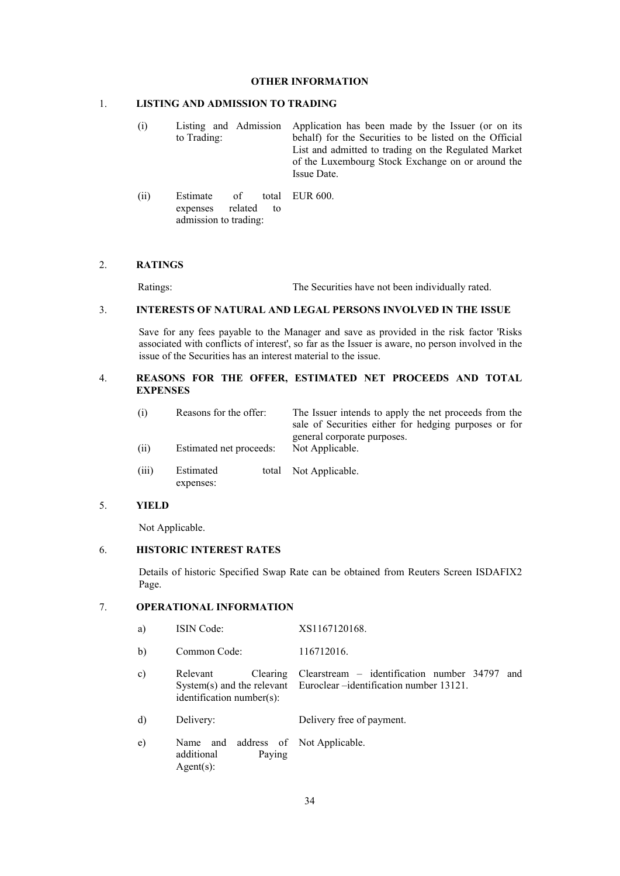### **OTHER INFORMATION**

#### 1. **LISTING AND ADMISSION TO TRADING**

- (i) Listing and Admission to Trading: Application has been made by the Issuer (or on its behalf) for the Securities to be listed on the Official List and admitted to trading on the Regulated Market of the Luxembourg Stock Exchange on or around the Issue Date.
- $(ii)$  Estimate of expenses related to admission to trading: total EUR 600.

#### 2. **RATINGS**

Ratings: The Securities have not been individually rated.

## 3. **INTERESTS OF NATURAL AND LEGAL PERSONS INVOLVED IN THE ISSUE**

Save for any fees payable to the Manager and save as provided in the risk factor 'Risks associated with conflicts of interest', so far as the Issuer is aware, no person involved in the issue of the Securities has an interest material to the issue.

## 4. **REASONS FOR THE OFFER, ESTIMATED NET PROCEEDS AND TOTAL EXPENSES**

| (i)  | Reasons for the offer:  | The Issuer intends to apply the net proceeds from the<br>sale of Securities either for hedging purposes or for |
|------|-------------------------|----------------------------------------------------------------------------------------------------------------|
| (ii) | Estimated net proceeds: | general corporate purposes.<br>Not Applicable.                                                                 |

(iii) Estimated expenses: total Not Applicable.

## 5. **YIELD**

Not Applicable.

## 6. **HISTORIC INTEREST RATES**

Details of historic Specified Swap Rate can be obtained from Reuters Screen ISDAFIX2 Page.

## 7. **OPERATIONAL INFORMATION**

- a) ISIN Code: XS1167120168.
- b) Common Code: 116712016.
- c) Relevant Clearing System(s) and the relevant identification number(s): Clearstream – identification number 34797 and Euroclear –identification number 13121.
- d) Delivery: Delivery free of payment.
- e) Name and address of additional Paying Agent(s): Not Applicable.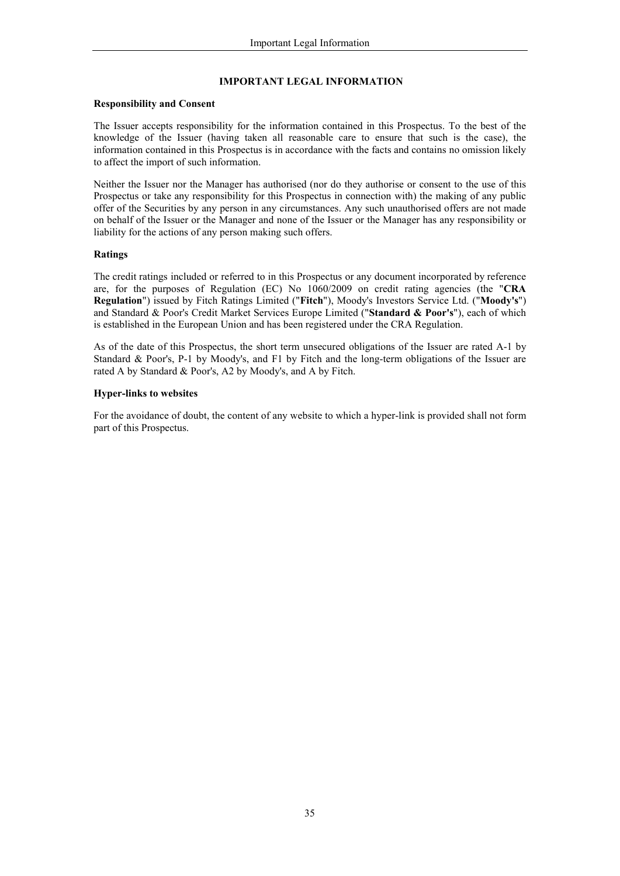## **IMPORTANT LEGAL INFORMATION**

## **Responsibility and Consent**

The Issuer accepts responsibility for the information contained in this Prospectus. To the best of the knowledge of the Issuer (having taken all reasonable care to ensure that such is the case), the information contained in this Prospectus is in accordance with the facts and contains no omission likely to affect the import of such information.

Neither the Issuer nor the Manager has authorised (nor do they authorise or consent to the use of this Prospectus or take any responsibility for this Prospectus in connection with) the making of any public offer of the Securities by any person in any circumstances. Any such unauthorised offers are not made on behalf of the Issuer or the Manager and none of the Issuer or the Manager has any responsibility or liability for the actions of any person making such offers.

## **Ratings**

The credit ratings included or referred to in this Prospectus or any document incorporated by reference are, for the purposes of Regulation (EC) No 1060/2009 on credit rating agencies (the "**CRA Regulation**") issued by Fitch Ratings Limited ("**Fitch**"), Moody's Investors Service Ltd. ("**Moody's**") and Standard & Poor's Credit Market Services Europe Limited ("**Standard & Poor's**"), each of which is established in the European Union and has been registered under the CRA Regulation.

As of the date of this Prospectus, the short term unsecured obligations of the Issuer are rated A-1 by Standard & Poor's, P-1 by Moody's, and F1 by Fitch and the long-term obligations of the Issuer are rated A by Standard & Poor's, A2 by Moody's, and A by Fitch.

## **Hyper-links to websites**

For the avoidance of doubt, the content of any website to which a hyper-link is provided shall not form part of this Prospectus.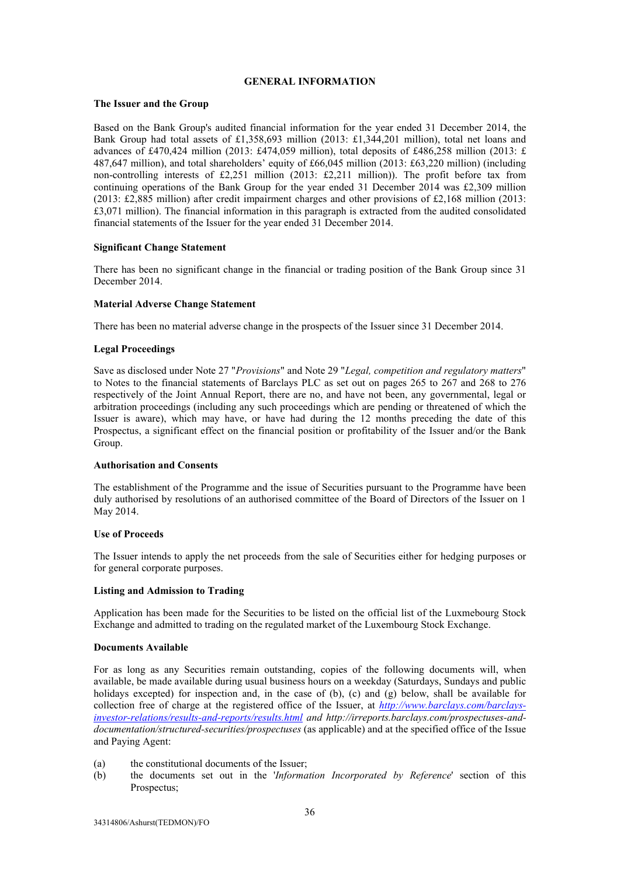## **GENERAL INFORMATION**

## **The Issuer and the Group**

Based on the Bank Group's audited financial information for the year ended 31 December 2014, the Bank Group had total assets of £1,358,693 million (2013: £1,344,201 million), total net loans and advances of £470,424 million (2013: £474,059 million), total deposits of £486,258 million (2013: £ 487,647 million), and total shareholders' equity of £66,045 million (2013: £63,220 million) (including non-controlling interests of £2,251 million (2013: £2,211 million)). The profit before tax from continuing operations of the Bank Group for the year ended 31 December 2014 was £2,309 million (2013: £2,885 million) after credit impairment charges and other provisions of £2,168 million (2013: £3,071 million). The financial information in this paragraph is extracted from the audited consolidated financial statements of the Issuer for the year ended 31 December 2014.

## **Significant Change Statement**

There has been no significant change in the financial or trading position of the Bank Group since 31 December 2014.

## **Material Adverse Change Statement**

There has been no material adverse change in the prospects of the Issuer since 31 December 2014.

## **Legal Proceedings**

Save as disclosed under Note 27 "*Provisions*" and Note 29 "*Legal, competition and regulatory matters*" to Notes to the financial statements of Barclays PLC as set out on pages 265 to 267 and 268 to 276 respectively of the Joint Annual Report, there are no, and have not been, any governmental, legal or arbitration proceedings (including any such proceedings which are pending or threatened of which the Issuer is aware), which may have, or have had during the 12 months preceding the date of this Prospectus, a significant effect on the financial position or profitability of the Issuer and/or the Bank Group.

#### **Authorisation and Consents**

The establishment of the Programme and the issue of Securities pursuant to the Programme have been duly authorised by resolutions of an authorised committee of the Board of Directors of the Issuer on 1 May 2014.

#### **Use of Proceeds**

The Issuer intends to apply the net proceeds from the sale of Securities either for hedging purposes or for general corporate purposes.

## **Listing and Admission to Trading**

Application has been made for the Securities to be listed on the official list of the Luxmebourg Stock Exchange and admitted to trading on the regulated market of the Luxembourg Stock Exchange.

#### **Documents Available**

For as long as any Securities remain outstanding, copies of the following documents will, when available, be made available during usual business hours on a weekday (Saturdays, Sundays and public holidays excepted) for inspection and, in the case of (b), (c) and (g) below, shall be available for collection free of charge at the registered office of the Issuer, at *http://www.barclays.com/barclaysinvestor-relations/results-and-reports/results.html and http://irreports.barclays.com/prospectuses-anddocumentation/structured-securities/prospectuses* (as applicable) and at the specified office of the Issue and Paying Agent:

- (a) the constitutional documents of the Issuer;
- (b) the documents set out in the '*Information Incorporated by Reference*' section of this Prospectus;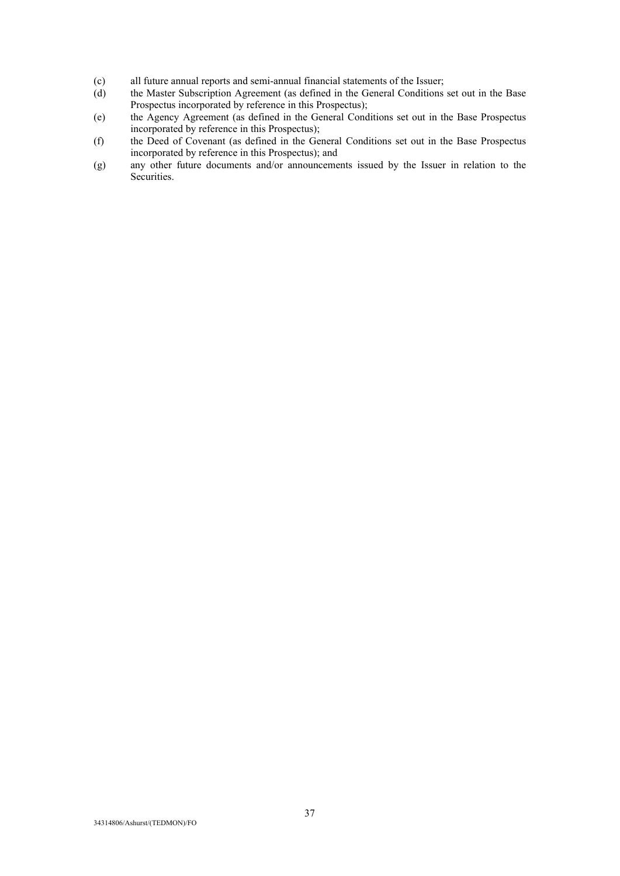- (c) all future annual reports and semi-annual financial statements of the Issuer;
- (d) the Master Subscription Agreement (as defined in the General Conditions set out in the Base Prospectus incorporated by reference in this Prospectus);
- (e) the Agency Agreement (as defined in the General Conditions set out in the Base Prospectus incorporated by reference in this Prospectus);
- (f) the Deed of Covenant (as defined in the General Conditions set out in the Base Prospectus incorporated by reference in this Prospectus); and
- (g) any other future documents and/or announcements issued by the Issuer in relation to the Securities.